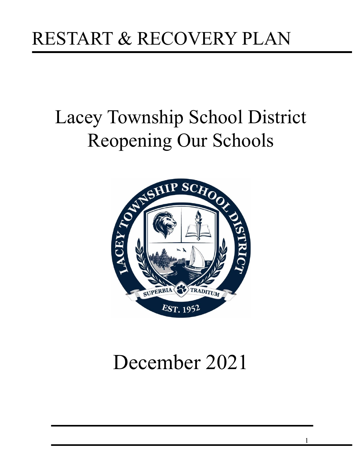# Lacey Township School District Reopening Our Schools



# December 2021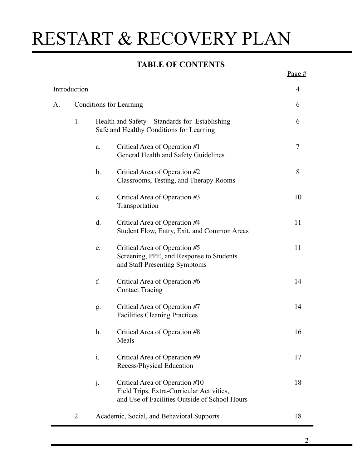### **TABLE OF CONTENTS**

|                                                      |    |                                                                                            |                                                                                                                              | Page $#$ |
|------------------------------------------------------|----|--------------------------------------------------------------------------------------------|------------------------------------------------------------------------------------------------------------------------------|----------|
| Introduction<br><b>Conditions for Learning</b><br>A. |    |                                                                                            |                                                                                                                              | 4        |
|                                                      |    |                                                                                            |                                                                                                                              |          |
|                                                      | 1. | Health and Safety – Standards for Establishing<br>Safe and Healthy Conditions for Learning |                                                                                                                              | 6        |
|                                                      |    | a.                                                                                         | Critical Area of Operation #1<br>General Health and Safety Guidelines                                                        | 7        |
|                                                      |    | $\mathbf b$ .                                                                              | Critical Area of Operation #2<br>Classrooms, Testing, and Therapy Rooms                                                      | 8        |
|                                                      |    | $\mathbf{c}$ .                                                                             | Critical Area of Operation #3<br>Transportation                                                                              | 10       |
|                                                      |    | d.                                                                                         | Critical Area of Operation #4<br>Student Flow, Entry, Exit, and Common Areas                                                 | 11       |
|                                                      |    | e.                                                                                         | Critical Area of Operation #5<br>Screening, PPE, and Response to Students<br>and Staff Presenting Symptoms                   | 11       |
|                                                      |    | f.                                                                                         | Critical Area of Operation #6<br><b>Contact Tracing</b>                                                                      | 14       |
|                                                      |    | g.                                                                                         | Critical Area of Operation #7<br><b>Facilities Cleaning Practices</b>                                                        | 14       |
|                                                      |    | h.                                                                                         | Critical Area of Operation #8<br>Meals                                                                                       | 16       |
|                                                      |    | $\mathbf{i}$ .                                                                             | Critical Area of Operation #9<br>Recess/Physical Education                                                                   | 17       |
|                                                      |    | j.                                                                                         | Critical Area of Operation #10<br>Field Trips, Extra-Curricular Activities,<br>and Use of Facilities Outside of School Hours | 18       |
|                                                      | 2. |                                                                                            | Academic, Social, and Behavioral Supports                                                                                    | 18       |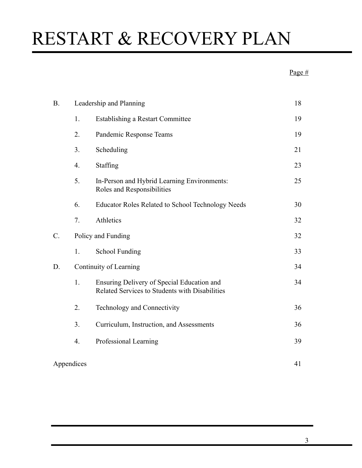### Page #

| <b>B.</b>  | Leadership and Planning |                                                                                              |    |
|------------|-------------------------|----------------------------------------------------------------------------------------------|----|
|            | 1.                      | <b>Establishing a Restart Committee</b>                                                      | 19 |
|            | 2.                      | Pandemic Response Teams                                                                      |    |
|            | 3.                      | Scheduling                                                                                   | 21 |
|            | 4.                      | Staffing                                                                                     | 23 |
|            | 5.                      | In-Person and Hybrid Learning Environments:<br>Roles and Responsibilities                    | 25 |
|            | 6.                      | <b>Educator Roles Related to School Technology Needs</b>                                     | 30 |
|            | 7.                      | Athletics                                                                                    | 32 |
| $C$ .      | Policy and Funding      |                                                                                              |    |
|            | 1.                      | <b>School Funding</b>                                                                        | 33 |
| D.         | Continuity of Learning  |                                                                                              |    |
|            | 1.                      | Ensuring Delivery of Special Education and<br>Related Services to Students with Disabilities | 34 |
|            | 2.                      | Technology and Connectivity                                                                  | 36 |
|            | 3.                      | Curriculum, Instruction, and Assessments                                                     | 36 |
|            | 4.                      | Professional Learning                                                                        | 39 |
| Appendices |                         |                                                                                              |    |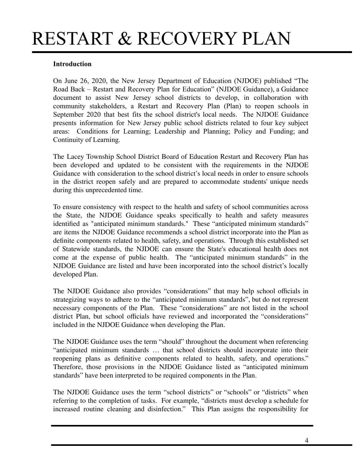#### **Introduction**

On June 26, 2020, the New Jersey Department of Education (NJDOE) published "The Road Back – Restart and Recovery Plan for Education" (NJDOE Guidance), a Guidance document to assist New Jersey school districts to develop, in collaboration with community stakeholders, a Restart and Recovery Plan (Plan) to reopen schools in September 2020 that best fits the school district's local needs. The NJDOE Guidance presents information for New Jersey public school districts related to four key subject areas: Conditions for Learning; Leadership and Planning; Policy and Funding; and Continuity of Learning.

The Lacey Township School District Board of Education Restart and Recovery Plan has been developed and updated to be consistent with the requirements in the NJDOE Guidance with consideration to the school district's local needs in order to ensure schools in the district reopen safely and are prepared to accommodate students' unique needs during this unprecedented time.

To ensure consistency with respect to the health and safety of school communities across the State, the NJDOE Guidance speaks specifically to health and safety measures identified as "anticipated minimum standards." These "anticipated minimum standards" are items the NJDOE Guidance recommends a school district incorporate into the Plan as definite components related to health, safety, and operations. Through this established set of Statewide standards, the NJDOE can ensure the State's educational health does not come at the expense of public health. The "anticipated minimum standards" in the NJDOE Guidance are listed and have been incorporated into the school district's locally developed Plan.

The NJDOE Guidance also provides "considerations" that may help school officials in strategizing ways to adhere to the "anticipated minimum standards", but do not represent necessary components of the Plan. These "considerations" are not listed in the school district Plan, but school officials have reviewed and incorporated the "considerations" included in the NJDOE Guidance when developing the Plan.

The NJDOE Guidance uses the term "should" throughout the document when referencing "anticipated minimum standards … that school districts should incorporate into their reopening plans as definitive components related to health, safety, and operations." Therefore, those provisions in the NJDOE Guidance listed as "anticipated minimum standards" have been interpreted to be required components in the Plan.

The NJDOE Guidance uses the term "school districts" or "schools" or "districts" when referring to the completion of tasks. For example, "districts must develop a schedule for increased routine cleaning and disinfection." This Plan assigns the responsibility for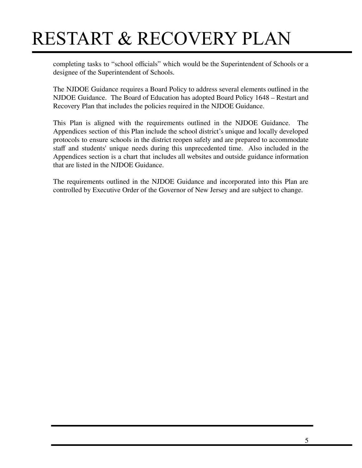completing tasks to "school officials" which would be the Superintendent of Schools or a designee of the Superintendent of Schools.

The NJDOE Guidance requires a Board Policy to address several elements outlined in the NJDOE Guidance. The Board of Education has adopted Board Policy 1648 – Restart and Recovery Plan that includes the policies required in the NJDOE Guidance.

This Plan is aligned with the requirements outlined in the NJDOE Guidance. The Appendices section of this Plan include the school district's unique and locally developed protocols to ensure schools in the district reopen safely and are prepared to accommodate staff and students' unique needs during this unprecedented time. Also included in the Appendices section is a chart that includes all websites and outside guidance information that are listed in the NJDOE Guidance.

The requirements outlined in the NJDOE Guidance and incorporated into this Plan are controlled by Executive Order of the Governor of New Jersey and are subject to change.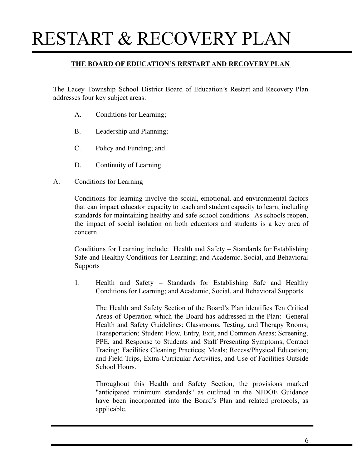#### **THE BOARD OF EDUCATION'S RESTART AND RECOVERY PLAN**

The Lacey Township School District Board of Education's Restart and Recovery Plan addresses four key subject areas:

- A. Conditions for Learning;
- B. Leadership and Planning;
- C. Policy and Funding; and
- D. Continuity of Learning.
- A. Conditions for Learning

Conditions for learning involve the social, emotional, and environmental factors that can impact educator capacity to teach and student capacity to learn, including standards for maintaining healthy and safe school conditions. As schools reopen, the impact of social isolation on both educators and students is a key area of concern.

Conditions for Learning include: Health and Safety – Standards for Establishing Safe and Healthy Conditions for Learning; and Academic, Social, and Behavioral Supports

1. Health and Safety – Standards for Establishing Safe and Healthy Conditions for Learning; and Academic, Social, and Behavioral Supports

The Health and Safety Section of the Board's Plan identifies Ten Critical Areas of Operation which the Board has addressed in the Plan: General Health and Safety Guidelines; Classrooms, Testing, and Therapy Rooms; Transportation; Student Flow, Entry, Exit, and Common Areas; Screening, PPE, and Response to Students and Staff Presenting Symptoms; Contact Tracing; Facilities Cleaning Practices; Meals; Recess/Physical Education; and Field Trips, Extra-Curricular Activities, and Use of Facilities Outside School Hours.

Throughout this Health and Safety Section, the provisions marked "anticipated minimum standards" as outlined in the NJDOE Guidance have been incorporated into the Board's Plan and related protocols, as applicable.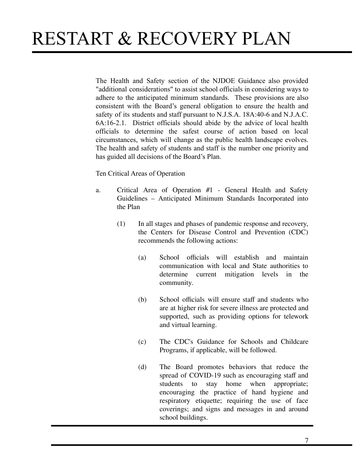The Health and Safety section of the NJDOE Guidance also provided "additional considerations" to assist school officials in considering ways to adhere to the anticipated minimum standards. These provisions are also consistent with the Board's general obligation to ensure the health and safety of its students and staff pursuant to N.J.S.A. 18A:40-6 and N.J.A.C. 6A:16-2.1. District officials should abide by the advice of local health officials to determine the safest course of action based on local circumstances, which will change as the public health landscape evolves. The health and safety of students and staff is the number one priority and has guided all decisions of the Board's Plan.

Ten Critical Areas of Operation

- a. Critical Area of Operation #1 General Health and Safety Guidelines – Anticipated Minimum Standards Incorporated into the Plan
	- (1) In all stages and phases of pandemic response and recovery, the Centers for Disease Control and Prevention (CDC) recommends the following actions:
		- (a) School officials will establish and maintain communication with local and State authorities to determine current mitigation levels in the community.
		- (b) School officials will ensure staff and students who are at higher risk for severe illness are protected and supported, such as providing options for telework and virtual learning.
		- (c) The CDC's Guidance for Schools and Childcare Programs, if applicable, will be followed.
		- (d) The Board promotes behaviors that reduce the spread of COVID-19 such as encouraging staff and students to stay home when appropriate; encouraging the practice of hand hygiene and respiratory etiquette; requiring the use of face coverings; and signs and messages in and around school buildings.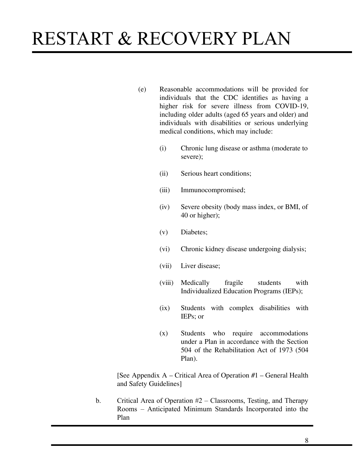- (e) Reasonable accommodations will be provided for individuals that the CDC identifies as having a higher risk for severe illness from COVID-19, including older adults (aged 65 years and older) and individuals with disabilities or serious underlying medical conditions, which may include:
	- (i) Chronic lung disease or asthma (moderate to severe);
	- (ii) Serious heart conditions;
	- (iii) Immunocompromised;
	- (iv) Severe obesity (body mass index, or BMI, of 40 or higher);
	- (v) Diabetes;
	- (vi) Chronic kidney disease undergoing dialysis;
	- (vii) Liver disease;
	- (viii) Medically fragile students with Individualized Education Programs (IEPs);
	- (ix) Students with complex disabilities with IEPs; or
	- (x) Students who require accommodations under a Plan in accordance with the Section 504 of the Rehabilitation Act of 1973 (504 Plan).

[See Appendix A – Critical Area of Operation #1 – General Health and Safety Guidelines]

b. Critical Area of Operation #2 – Classrooms, Testing, and Therapy Rooms – Anticipated Minimum Standards Incorporated into the Plan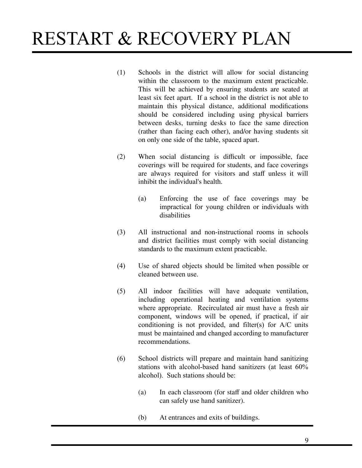- (1) Schools in the district will allow for social distancing within the classroom to the maximum extent practicable. This will be achieved by ensuring students are seated at least six feet apart. If a school in the district is not able to maintain this physical distance, additional modifications should be considered including using physical barriers between desks, turning desks to face the same direction (rather than facing each other), and/or having students sit on only one side of the table, spaced apart.
- (2) When social distancing is difficult or impossible, face coverings will be required for students, and face coverings are always required for visitors and staff unless it will inhibit the individual's health.
	- (a) Enforcing the use of face coverings may be impractical for young children or individuals with disabilities
- (3) All instructional and non-instructional rooms in schools and district facilities must comply with social distancing standards to the maximum extent practicable.
- (4) Use of shared objects should be limited when possible or cleaned between use.
- (5) All indoor facilities will have adequate ventilation, including operational heating and ventilation systems where appropriate. Recirculated air must have a fresh air component, windows will be opened, if practical, if air conditioning is not provided, and filter(s) for A/C units must be maintained and changed according to manufacturer recommendations.
- (6) School districts will prepare and maintain hand sanitizing stations with alcohol-based hand sanitizers (at least 60% alcohol). Such stations should be:
	- (a) In each classroom (for staff and older children who can safely use hand sanitizer).
	- (b) At entrances and exits of buildings.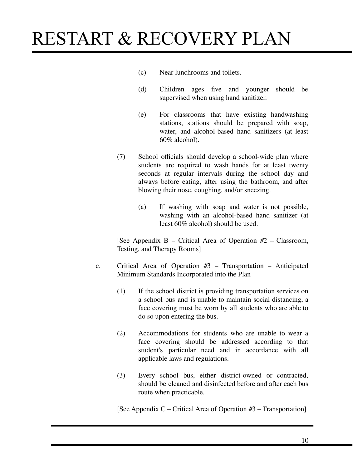- (c) Near lunchrooms and toilets.
- (d) Children ages five and younger should be supervised when using hand sanitizer.
- (e) For classrooms that have existing handwashing stations, stations should be prepared with soap, water, and alcohol-based hand sanitizers (at least 60% alcohol).
- (7) School officials should develop a school-wide plan where students are required to wash hands for at least twenty seconds at regular intervals during the school day and always before eating, after using the bathroom, and after blowing their nose, coughing, and/or sneezing.
	- (a) If washing with soap and water is not possible, washing with an alcohol-based hand sanitizer (at least 60% alcohol) should be used.

[See Appendix  $B -$ Critical Area of Operation  $#2 -$ Classroom, Testing, and Therapy Rooms]

- c. Critical Area of Operation #3 Transportation Anticipated Minimum Standards Incorporated into the Plan
	- (1) If the school district is providing transportation services on a school bus and is unable to maintain social distancing, a face covering must be worn by all students who are able to do so upon entering the bus.
	- (2) Accommodations for students who are unable to wear a face covering should be addressed according to that student's particular need and in accordance with all applicable laws and regulations.
	- (3) Every school bus, either district-owned or contracted, should be cleaned and disinfected before and after each bus route when practicable.

[See Appendix C – Critical Area of Operation #3 – Transportation]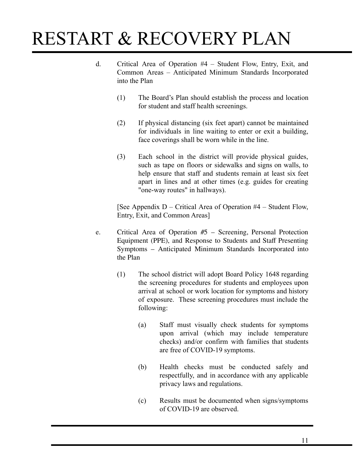- d. Critical Area of Operation #4 Student Flow, Entry, Exit, and Common Areas – Anticipated Minimum Standards Incorporated into the Plan
	- (1) The Board's Plan should establish the process and location for student and staff health screenings.
	- (2) If physical distancing (six feet apart) cannot be maintained for individuals in line waiting to enter or exit a building, face coverings shall be worn while in the line.
	- (3) Each school in the district will provide physical guides, such as tape on floors or sidewalks and signs on walls, to help ensure that staff and students remain at least six feet apart in lines and at other times (e.g. guides for creating "one-way routes" in hallways).

[See Appendix D – Critical Area of Operation #4 – Student Flow, Entry, Exit, and Common Areas]

- e. Critical Area of Operation #5 Screening, Personal Protection Equipment (PPE), and Response to Students and Staff Presenting Symptoms – Anticipated Minimum Standards Incorporated into the Plan
	- (1) The school district will adopt Board Policy 1648 regarding the screening procedures for students and employees upon arrival at school or work location for symptoms and history of exposure. These screening procedures must include the following:
		- (a) Staff must visually check students for symptoms upon arrival (which may include temperature checks) and/or confirm with families that students are free of COVID-19 symptoms.
		- (b) Health checks must be conducted safely and respectfully, and in accordance with any applicable privacy laws and regulations.
		- (c) Results must be documented when signs/symptoms of COVID-19 are observed.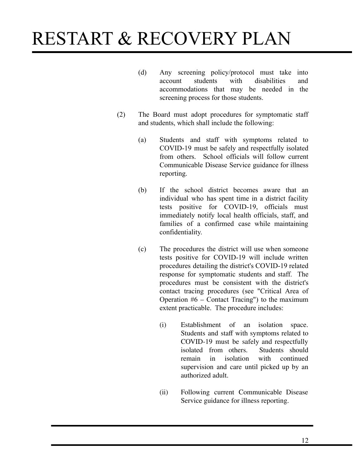- (d) Any screening policy/protocol must take into account students with disabilities and accommodations that may be needed in the screening process for those students.
- (2) The Board must adopt procedures for symptomatic staff and students, which shall include the following:
	- (a) Students and staff with symptoms related to COVID-19 must be safely and respectfully isolated from others. School officials will follow current Communicable Disease Service guidance for illness reporting.
	- (b) If the school district becomes aware that an individual who has spent time in a district facility tests positive for COVID-19, officials must immediately notify local health officials, staff, and families of a confirmed case while maintaining confidentiality.
	- (c) The procedures the district will use when someone tests positive for COVID-19 will include written procedures detailing the district's COVID-19 related response for symptomatic students and staff. The procedures must be consistent with the district's contact tracing procedures (see "Critical Area of Operation #6 – Contact Tracing") to the maximum extent practicable. The procedure includes:
		- (i) Establishment of an isolation space. Students and staff with symptoms related to COVID-19 must be safely and respectfully isolated from others. Students should<br>remain in isolation with continued remain in isolation supervision and care until picked up by an authorized adult.
		- (ii) Following current Communicable Disease Service guidance for illness reporting.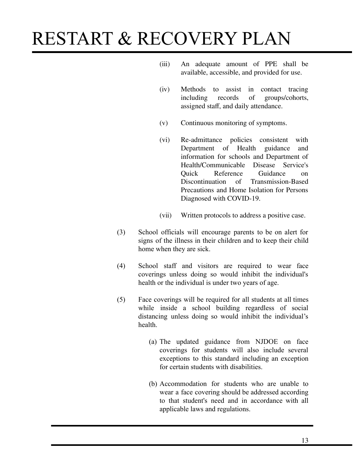- (iii) An adequate amount of PPE shall be available, accessible, and provided for use.
- (iv) Methods to assist in contact tracing<br>including records of groups/cohorts, including records of groups/cohorts, assigned staff, and daily attendance.
- (v) Continuous monitoring of symptoms.
- (vi) Re-admittance policies consistent with Department of Health guidance and information for schools and Department of Health/Communicable Disease Service's Reference Guidance on Discontinuation of Transmission-Based Precautions and Home Isolation for Persons Diagnosed with COVID-19.
- (vii) Written protocols to address a positive case.
- (3) School officials will encourage parents to be on alert for signs of the illness in their children and to keep their child home when they are sick.
- (4) School staff and visitors are required to wear face coverings unless doing so would inhibit the individual's health or the individual is under two years of age.
- (5) Face coverings will be required for all students at all times while inside a school building regardless of social distancing unless doing so would inhibit the individual's health.
	- (a) The updated guidance from NJDOE on face coverings for students will also include several exceptions to this standard including an exception for certain students with disabilities.
	- (b) Accommodation for students who are unable to wear a face covering should be addressed according to that student's need and in accordance with all applicable laws and regulations.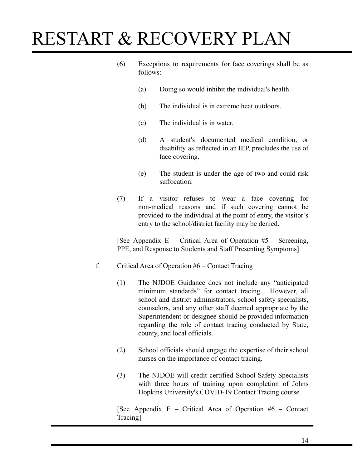- (6) Exceptions to requirements for face coverings shall be as follows:
	- (a) Doing so would inhibit the individual's health.
	- (b) The individual is in extreme heat outdoors.
	- (c) The individual is in water.
	- (d) A student's documented medical condition, or disability as reflected in an IEP, precludes the use of face covering.
	- (e) The student is under the age of two and could risk suffocation.
- (7) If a visitor refuses to wear a face covering for non-medical reasons and if such covering cannot be provided to the individual at the point of entry, the visitor's entry to the school/district facility may be denied.

[See Appendix E – Critical Area of Operation  $#5$  – Screening, PPE, and Response to Students and Staff Presenting Symptoms]

- f. Critical Area of Operation #6 Contact Tracing
	- (1) The NJDOE Guidance does not include any "anticipated minimum standards" for contact tracing. However, all school and district administrators, school safety specialists, counselors, and any other staff deemed appropriate by the Superintendent or designee should be provided information regarding the role of contact tracing conducted by State, county, and local officials.
	- (2) School officials should engage the expertise of their school nurses on the importance of contact tracing.
	- (3) The NJDOE will credit certified School Safety Specialists with three hours of training upon completion of Johns Hopkins University's COVID-19 Contact Tracing course.

[See Appendix F – Critical Area of Operation #6 – Contact Tracing]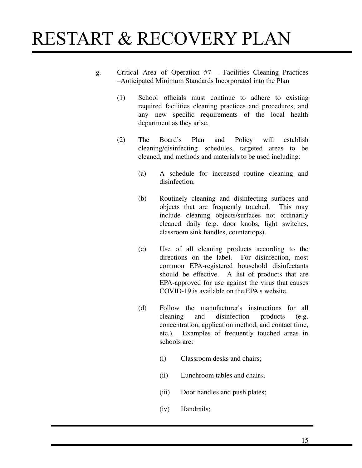- g. Critical Area of Operation #7 Facilities Cleaning Practices –Anticipated Minimum Standards Incorporated into the Plan
	- (1) School officials must continue to adhere to existing required facilities cleaning practices and procedures, and any new specific requirements of the local health department as they arise.
	- (2) The Board's Plan and Policy will establish cleaning/disinfecting schedules, targeted areas to be cleaned, and methods and materials to be used including:
		- (a) A schedule for increased routine cleaning and disinfection.
		- (b) Routinely cleaning and disinfecting surfaces and objects that are frequently touched. This may include cleaning objects/surfaces not ordinarily cleaned daily (e.g. door knobs, light switches, classroom sink handles, countertops).
		- (c) Use of all cleaning products according to the directions on the label. common EPA-registered household disinfectants should be effective. A list of products that are EPA-approved for use against the virus that causes COVID-19 is available on the EPA's website.
		- (d) Follow the manufacturer's instructions for all cleaning and disinfection products (e.g. concentration, application method, and contact time, etc.). Examples of frequently touched areas in schools are:
			- (i) Classroom desks and chairs;
			- (ii) Lunchroom tables and chairs;
			- (iii) Door handles and push plates;
			- (iv) Handrails;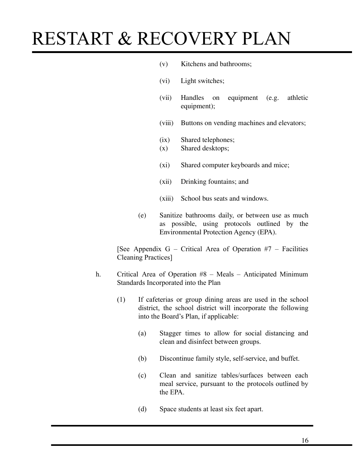- (v) Kitchens and bathrooms;
- (vi) Light switches;
- (vii) Handles on equipment (e.g. athletic equipment);
- (viii) Buttons on vending machines and elevators;
- (ix) Shared telephones;
- (x) Shared desktops;
- (xi) Shared computer keyboards and mice;
- (xii) Drinking fountains; and
- (xiii) School bus seats and windows.
- (e) Sanitize bathrooms daily, or between use as much as possible, using protocols outlined by the Environmental Protection Agency (EPA).

[See Appendix G – Critical Area of Operation  $#7$  – Facilities Cleaning Practices]

- h. Critical Area of Operation #8 Meals Anticipated Minimum Standards Incorporated into the Plan
	- (1) If cafeterias or group dining areas are used in the school district, the school district will incorporate the following into the Board's Plan, if applicable:
		- (a) Stagger times to allow for social distancing and clean and disinfect between groups.
		- (b) Discontinue family style, self-service, and buffet.
		- (c) Clean and sanitize tables/surfaces between each meal service, pursuant to the protocols outlined by the EPA.
		- (d) Space students at least six feet apart.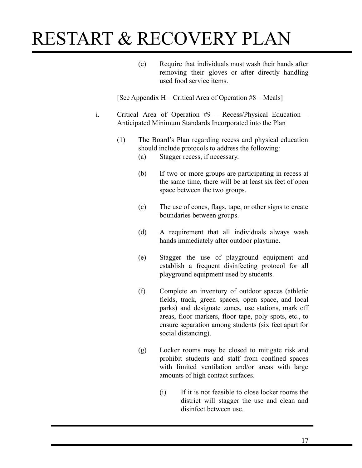(e) Require that individuals must wash their hands after removing their gloves or after directly handling used food service items.

[See Appendix H – Critical Area of Operation #8 – Meals]

- i. Critical Area of Operation #9 Recess/Physical Education Anticipated Minimum Standards Incorporated into the Plan
	- (1) The Board's Plan regarding recess and physical education should include protocols to address the following:
		- (a) Stagger recess, if necessary.
		- (b) If two or more groups are participating in recess at the same time, there will be at least six feet of open space between the two groups.
		- (c) The use of cones, flags, tape, or other signs to create boundaries between groups.
		- (d) A requirement that all individuals always wash hands immediately after outdoor playtime.
		- (e) Stagger the use of playground equipment and establish a frequent disinfecting protocol for all playground equipment used by students.
		- (f) Complete an inventory of outdoor spaces (athletic fields, track, green spaces, open space, and local parks) and designate zones, use stations, mark off areas, floor markers, floor tape, poly spots, etc., to ensure separation among students (six feet apart for social distancing).
		- (g) Locker rooms may be closed to mitigate risk and prohibit students and staff from confined spaces with limited ventilation and/or areas with large amounts of high contact surfaces.
			- (i) If it is not feasible to close locker rooms the district will stagger the use and clean and disinfect between use.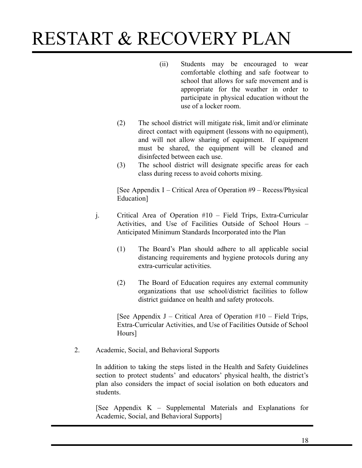- (ii) Students may be encouraged to wear comfortable clothing and safe footwear to school that allows for safe movement and is appropriate for the weather in order to participate in physical education without the use of a locker room.
- (2) The school district will mitigate risk, limit and/or eliminate direct contact with equipment (lessons with no equipment), and will not allow sharing of equipment. If equipment must be shared, the equipment will be cleaned and disinfected between each use.
- (3) The school district will designate specific areas for each class during recess to avoid cohorts mixing.

[See Appendix I – Critical Area of Operation #9 – Recess/Physical Education]

- j. Critical Area of Operation #10 Field Trips, Extra-Curricular Activities, and Use of Facilities Outside of School Hours – Anticipated Minimum Standards Incorporated into the Plan
	- (1) The Board's Plan should adhere to all applicable social distancing requirements and hygiene protocols during any extra-curricular activities.
	- (2) The Board of Education requires any external community organizations that use school/district facilities to follow district guidance on health and safety protocols.

[See Appendix J – Critical Area of Operation  $\#10$  – Field Trips, Extra-Curricular Activities, and Use of Facilities Outside of School Hours]

2. Academic, Social, and Behavioral Supports

In addition to taking the steps listed in the Health and Safety Guidelines section to protect students' and educators' physical health, the district's plan also considers the impact of social isolation on both educators and students.

[See Appendix K – Supplemental Materials and Explanations for Academic, Social, and Behavioral Supports]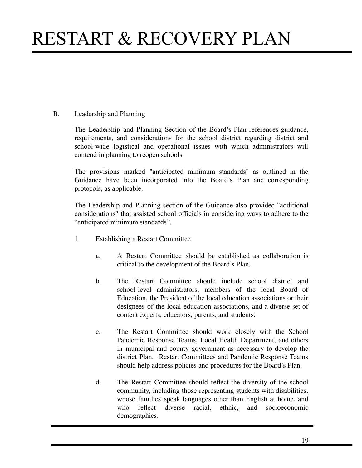### B. Leadership and Planning

The Leadership and Planning Section of the Board's Plan references guidance, requirements, and considerations for the school district regarding district and school-wide logistical and operational issues with which administrators will contend in planning to reopen schools.

The provisions marked "anticipated minimum standards" as outlined in the Guidance have been incorporated into the Board's Plan and corresponding protocols, as applicable.

The Leadership and Planning section of the Guidance also provided "additional considerations" that assisted school officials in considering ways to adhere to the "anticipated minimum standards".

- 1. Establishing a Restart Committee
	- a. A Restart Committee should be established as collaboration is critical to the development of the Board's Plan.
	- b. The Restart Committee should include school district and school-level administrators, members of the local Board of Education, the President of the local education associations or their designees of the local education associations, and a diverse set of content experts, educators, parents, and students.
	- c. The Restart Committee should work closely with the School Pandemic Response Teams, Local Health Department, and others in municipal and county government as necessary to develop the district Plan. Restart Committees and Pandemic Response Teams should help address policies and procedures for the Board's Plan.
	- d. The Restart Committee should reflect the diversity of the school community, including those representing students with disabilities, whose families speak languages other than English at home, and<br>who reflect diverse racial ethnic and socioeconomic who reflect diverse racial, ethnic, demographics.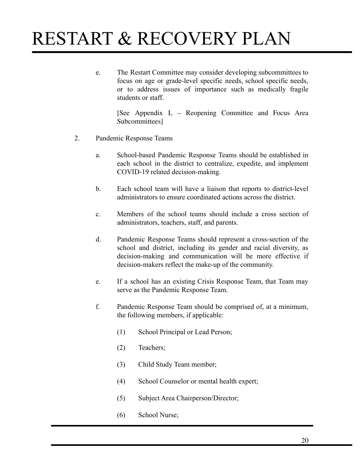e. The Restart Committee may consider developing subcommittees to focus on age or grade-level specific needs, school specific needs, or to address issues of importance such as medically fragile students or staff.

> [See Appendix L – Reopening Committee and Focus Area Subcommittees]

- 2. Pandemic Response Teams
	- a. School-based Pandemic Response Teams should be established in each school in the district to centralize, expedite, and implement COVID-19 related decision-making.
	- b. Each school team will have a liaison that reports to district-level administrators to ensure coordinated actions across the district.
	- c. Members of the school teams should include a cross section of administrators, teachers, staff, and parents.
	- d. Pandemic Response Teams should represent a cross-section of the school and district, including its gender and racial diversity, as decision-making and communication will be more effective if decision-makers reflect the make-up of the community.
	- e. If a school has an existing Crisis Response Team, that Team may serve as the Pandemic Response Team.
	- f. Pandemic Response Team should be comprised of, at a minimum, the following members, if applicable:
		- (1) School Principal or Lead Person;
		- (2) Teachers;
		- (3) Child Study Team member;
		- (4) School Counselor or mental health expert;
		- (5) Subject Area Chairperson/Director;
		- (6) School Nurse;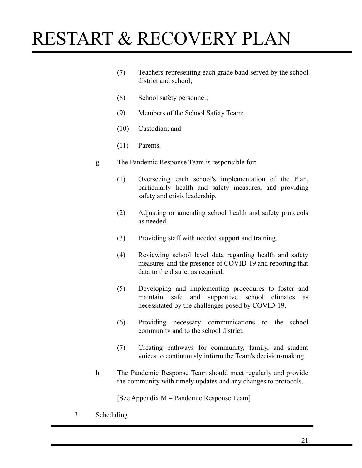- (7) Teachers representing each grade band served by the school district and school;
- (8) School safety personnel;
- (9) Members of the School Safety Team;
- (10) Custodian; and
- (11) Parents.
- g. The Pandemic Response Team is responsible for:
	- (1) Overseeing each school's implementation of the Plan, particularly health and safety measures, and providing safety and crisis leadership.
	- (2) Adjusting or amending school health and safety protocols as needed.
	- (3) Providing staff with needed support and training.
	- (4) Reviewing school level data regarding health and safety measures and the presence of COVID-19 and reporting that data to the district as required.
	- (5) Developing and implementing procedures to foster and maintain safe and supportive school climates as necessitated by the challenges posed by COVID-19.
	- (6) Providing necessary communications to the school community and to the school district.
	- (7) Creating pathways for community, family, and student voices to continuously inform the Team's decision-making.
- h. The Pandemic Response Team should meet regularly and provide the community with timely updates and any changes to protocols.

[See Appendix M – Pandemic Response Team]

3. Scheduling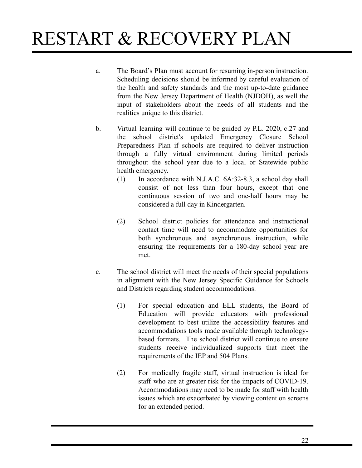- a. The Board's Plan must account for resuming in-person instruction. Scheduling decisions should be informed by careful evaluation of the health and safety standards and the most up-to-date guidance from the New Jersey Department of Health (NJDOH), as well the input of stakeholders about the needs of all students and the realities unique to this district.
- b. Virtual learning will continue to be guided by P.L. 2020, c.27 and the school district's updated Emergency Closure School Preparedness Plan if schools are required to deliver instruction through a fully virtual environment during limited periods throughout the school year due to a local or Statewide public health emergency.
	- (1) In accordance with N.J.A.C. 6A:32-8.3, a school day shall consist of not less than four hours, except that one continuous session of two and one-half hours may be considered a full day in Kindergarten.
	- (2) School district policies for attendance and instructional contact time will need to accommodate opportunities for both synchronous and asynchronous instruction, while ensuring the requirements for a 180-day school year are met.
- c. The school district will meet the needs of their special populations in alignment with the New Jersey Specific Guidance for Schools and Districts regarding student accommodations.
	- (1) For special education and ELL students, the Board of Education will provide educators with professional development to best utilize the accessibility features and accommodations tools made available through technologybased formats. The school district will continue to ensure students receive individualized supports that meet the requirements of the IEP and 504 Plans.
	- (2) For medically fragile staff, virtual instruction is ideal for staff who are at greater risk for the impacts of COVID-19. Accommodations may need to be made for staff with health issues which are exacerbated by viewing content on screens for an extended period.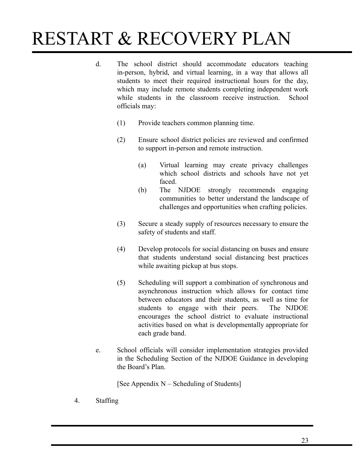- d. The school district should accommodate educators teaching in-person, hybrid, and virtual learning, in a way that allows all students to meet their required instructional hours for the day, which may include remote students completing independent work while students in the classroom receive instruction. School officials may:
	- (1) Provide teachers common planning time.
	- (2) Ensure school district policies are reviewed and confirmed to support in-person and remote instruction.
		- (a) Virtual learning may create privacy challenges which school districts and schools have not yet faced.
		- (b) The NJDOE strongly recommends engaging communities to better understand the landscape of challenges and opportunities when crafting policies.
	- (3) Secure a steady supply of resources necessary to ensure the safety of students and staff.
	- (4) Develop protocols for social distancing on buses and ensure that students understand social distancing best practices while awaiting pickup at bus stops.
	- (5) Scheduling will support a combination of synchronous and asynchronous instruction which allows for contact time between educators and their students, as well as time for students to engage with their peers. The NJDOE encourages the school district to evaluate instructional activities based on what is developmentally appropriate for each grade band.
- e. School officials will consider implementation strategies provided in the Scheduling Section of the NJDOE Guidance in developing the Board's Plan.

[See Appendix  $N -$  Scheduling of Students]

4. Staffing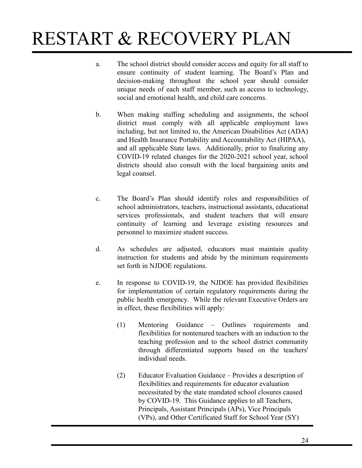- a. The school district should consider access and equity for all staff to ensure continuity of student learning. The Board's Plan and decision-making throughout the school year should consider unique needs of each staff member, such as access to technology, social and emotional health, and child care concerns.
- b. When making staffing scheduling and assignments, the school district must comply with all applicable employment laws including, but not limited to, the American Disabilities Act (ADA) and Health Insurance Portability and Accountability Act (HIPAA), and all applicable State laws. Additionally, prior to finalizing any COVID-19 related changes for the 2020-2021 school year, school districts should also consult with the local bargaining units and legal counsel.
- c. The Board's Plan should identify roles and responsibilities of school administrators, teachers, instructional assistants, educational services professionals, and student teachers that will ensure continuity of learning and leverage existing resources and personnel to maximize student success.
- d. As schedules are adjusted, educators must maintain quality instruction for students and abide by the minimum requirements set forth in NJDOE regulations.
- e. In response to COVID-19, the NJDOE has provided flexibilities for implementation of certain regulatory requirements during the public health emergency. While the relevant Executive Orders are in effect, these flexibilities will apply:
	- (1) Mentoring Guidance Outlines requirements and flexibilities for nontenured teachers with an induction to the teaching profession and to the school district community through differentiated supports based on the teachers' individual needs.
	- (2) Educator Evaluation Guidance Provides a description of flexibilities and requirements for educator evaluation necessitated by the state mandated school closures caused by COVID-19. This Guidance applies to all Teachers, Principals, Assistant Principals (APs), Vice Principals (VPs), and Other Certificated Staff for School Year (SY)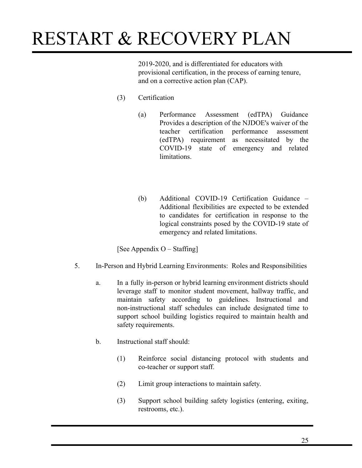2019-2020, and is differentiated for educators with provisional certification, in the process of earning tenure, and on a corrective action plan (CAP).

- (3) Certification
	- (a) Performance Assessment (edTPA) Guidance Provides a description of the NJDOE's waiver of the teacher certification performance assessment (edTPA) requirement as necessitated by the COVID-19 state of emergency and related **limitations**
	- (b) Additional COVID-19 Certification Guidance Additional flexibilities are expected to be extended to candidates for certification in response to the logical constraints posed by the COVID-19 state of emergency and related limitations.

[See Appendix O – Staffing]

- 5. In-Person and Hybrid Learning Environments: Roles and Responsibilities
	- a. In a fully in-person or hybrid learning environment districts should leverage staff to monitor student movement, hallway traffic, and maintain safety according to guidelines. Instructional and non-instructional staff schedules can include designated time to support school building logistics required to maintain health and safety requirements.
	- b. Instructional staff should:
		- (1) Reinforce social distancing protocol with students and co-teacher or support staff.
		- (2) Limit group interactions to maintain safety.
		- (3) Support school building safety logistics (entering, exiting, restrooms, etc.).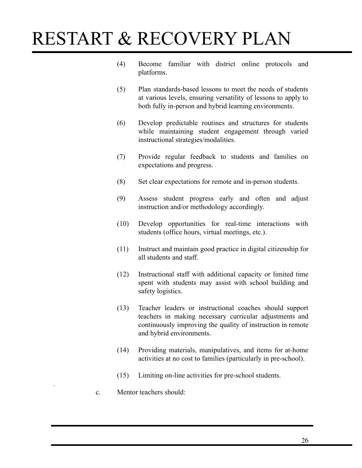- (4) Become familiar with district online protocols and platforms.
- (5) Plan standards-based lessons to meet the needs of students at various levels, ensuring versatility of lessons to apply to both fully in-person and hybrid learning environments.
- (6) Develop predictable routines and structures for students while maintaining student engagement through varied instructional strategies/modalities.
- (7) Provide regular feedback to students and families on expectations and progress.
- (8) Set clear expectations for remote and in-person students.
- (9) Assess student progress early and often and adjust instruction and/or methodology accordingly.
- (10) Develop opportunities for real-time interactions with students (office hours, virtual meetings, etc.).
- (11) Instruct and maintain good practice in digital citizenship for all students and staff.
- (12) Instructional staff with additional capacity or limited time spent with students may assist with school building and safety logistics.
- (13) Teacher leaders or instructional coaches should support teachers in making necessary curricular adjustments and continuously improving the quality of instruction in remote and hybrid environments.
- (14) Providing materials, manipulatives, and items for at-home activities at no cost to families (particularly in pre-school).
- (15) Limiting on-line activities for pre-school students.
- c. Mentor teachers should:

.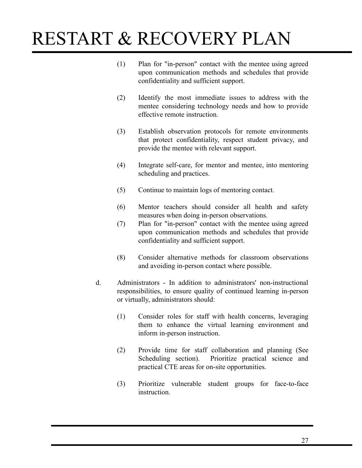- (1) Plan for "in-person" contact with the mentee using agreed upon communication methods and schedules that provide confidentiality and sufficient support.
- (2) Identify the most immediate issues to address with the mentee considering technology needs and how to provide effective remote instruction.
- (3) Establish observation protocols for remote environments that protect confidentiality, respect student privacy, and provide the mentee with relevant support.
- (4) Integrate self-care, for mentor and mentee, into mentoring scheduling and practices.
- (5) Continue to maintain logs of mentoring contact.
- (6) Mentor teachers should consider all health and safety measures when doing in-person observations.
- (7) Plan for "in-person" contact with the mentee using agreed upon communication methods and schedules that provide confidentiality and sufficient support.
- (8) Consider alternative methods for classroom observations and avoiding in-person contact where possible.
- d. Administrators In addition to administrators' non-instructional responsibilities, to ensure quality of continued learning in-person or virtually, administrators should:
	- (1) Consider roles for staff with health concerns, leveraging them to enhance the virtual learning environment and inform in-person instruction.
	- (2) Provide time for staff collaboration and planning (See Scheduling section). Prioritize practical science and practical CTE areas for on-site opportunities.
	- (3) Prioritize vulnerable student groups for face-to-face instruction.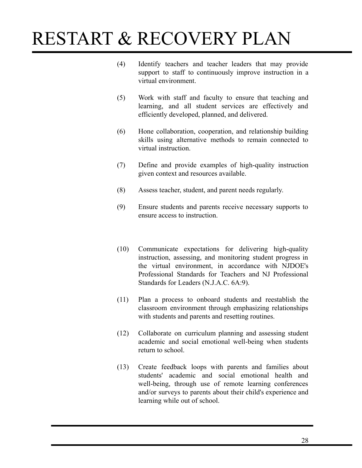- (4) Identify teachers and teacher leaders that may provide support to staff to continuously improve instruction in a virtual environment.
- (5) Work with staff and faculty to ensure that teaching and learning, and all student services are effectively and efficiently developed, planned, and delivered.
- (6) Hone collaboration, cooperation, and relationship building skills using alternative methods to remain connected to virtual instruction.
- (7) Define and provide examples of high-quality instruction given context and resources available.
- (8) Assess teacher, student, and parent needs regularly.
- (9) Ensure students and parents receive necessary supports to ensure access to instruction.
- (10) Communicate expectations for delivering high-quality instruction, assessing, and monitoring student progress in the virtual environment, in accordance with NJDOE's Professional Standards for Teachers and NJ Professional Standards for Leaders (N.J.A.C. 6A:9).
- (11) Plan a process to onboard students and reestablish the classroom environment through emphasizing relationships with students and parents and resetting routines.
- (12) Collaborate on curriculum planning and assessing student academic and social emotional well-being when students return to school.
- (13) Create feedback loops with parents and families about students' academic and social emotional health and well-being, through use of remote learning conferences and/or surveys to parents about their child's experience and learning while out of school.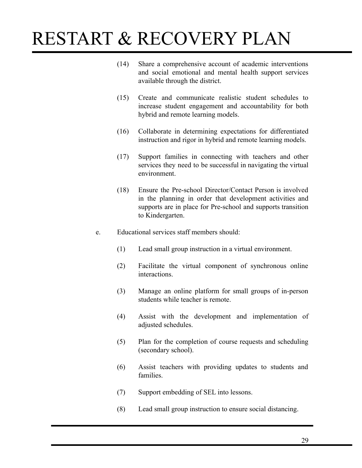- (14) Share a comprehensive account of academic interventions and social emotional and mental health support services available through the district.
- (15) Create and communicate realistic student schedules to increase student engagement and accountability for both hybrid and remote learning models.
- (16) Collaborate in determining expectations for differentiated instruction and rigor in hybrid and remote learning models.
- (17) Support families in connecting with teachers and other services they need to be successful in navigating the virtual environment.
- (18) Ensure the Pre-school Director/Contact Person is involved in the planning in order that development activities and supports are in place for Pre-school and supports transition to Kindergarten.
- e. Educational services staff members should:
	- (1) Lead small group instruction in a virtual environment.
	- (2) Facilitate the virtual component of synchronous online interactions.
	- (3) Manage an online platform for small groups of in-person students while teacher is remote.
	- (4) Assist with the development and implementation of adjusted schedules.
	- (5) Plan for the completion of course requests and scheduling (secondary school).
	- (6) Assist teachers with providing updates to students and families.
	- (7) Support embedding of SEL into lessons.
	- (8) Lead small group instruction to ensure social distancing.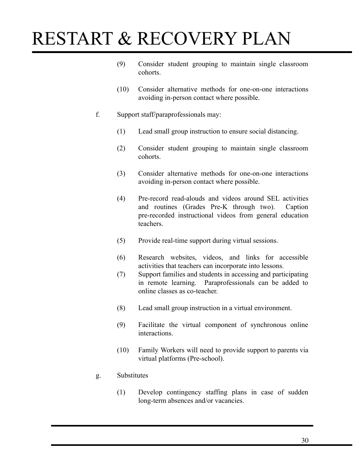- (9) Consider student grouping to maintain single classroom cohorts.
- (10) Consider alternative methods for one-on-one interactions avoiding in-person contact where possible.
- f. Support staff/paraprofessionals may:
	- (1) Lead small group instruction to ensure social distancing.
	- (2) Consider student grouping to maintain single classroom cohorts.
	- (3) Consider alternative methods for one-on-one interactions avoiding in-person contact where possible.
	- (4) Pre-record read-alouds and videos around SEL activities and routines (Grades Pre-K through two). Caption pre-recorded instructional videos from general education teachers.
	- (5) Provide real-time support during virtual sessions.
	- (6) Research websites, videos, and links for accessible activities that teachers can incorporate into lessons.
	- (7) Support families and students in accessing and participating in remote learning. Paraprofessionals can be added to online classes as co-teacher.
	- (8) Lead small group instruction in a virtual environment.
	- (9) Facilitate the virtual component of synchronous online interactions.
	- (10) Family Workers will need to provide support to parents via virtual platforms (Pre-school).
- g. Substitutes
	- (1) Develop contingency staffing plans in case of sudden long-term absences and/or vacancies.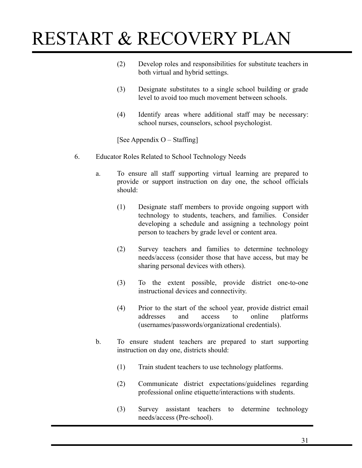- (2) Develop roles and responsibilities for substitute teachers in both virtual and hybrid settings.
- (3) Designate substitutes to a single school building or grade level to avoid too much movement between schools.
- (4) Identify areas where additional staff may be necessary: school nurses, counselors, school psychologist.

[See Appendix O – Staffing]

- 6. Educator Roles Related to School Technology Needs
	- a. To ensure all staff supporting virtual learning are prepared to provide or support instruction on day one, the school officials should:
		- (1) Designate staff members to provide ongoing support with technology to students, teachers, and families. Consider developing a schedule and assigning a technology point person to teachers by grade level or content area.
		- (2) Survey teachers and families to determine technology needs/access (consider those that have access, but may be sharing personal devices with others).
		- (3) To the extent possible, provide district one-to-one instructional devices and connectivity.
		- (4) Prior to the start of the school year, provide district email addresses and access to online platforms (usernames/passwords/organizational credentials).
	- b. To ensure student teachers are prepared to start supporting instruction on day one, districts should:
		- (1) Train student teachers to use technology platforms.
		- (2) Communicate district expectations/guidelines regarding professional online etiquette/interactions with students.
		- (3) Survey assistant teachers to determine technology needs/access (Pre-school).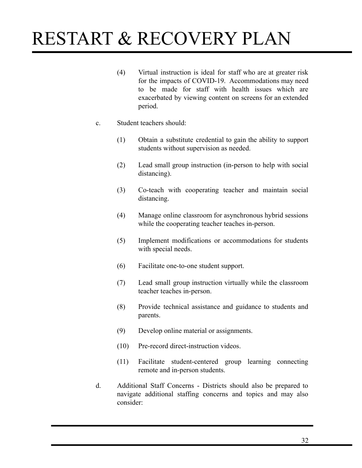- (4) Virtual instruction is ideal for staff who are at greater risk for the impacts of COVID-19. Accommodations may need to be made for staff with health issues which are exacerbated by viewing content on screens for an extended period.
- c. Student teachers should:
	- (1) Obtain a substitute credential to gain the ability to support students without supervision as needed.
	- (2) Lead small group instruction (in-person to help with social distancing).
	- (3) Co-teach with cooperating teacher and maintain social distancing.
	- (4) Manage online classroom for asynchronous hybrid sessions while the cooperating teacher teaches in-person.
	- (5) Implement modifications or accommodations for students with special needs.
	- (6) Facilitate one-to-one student support.
	- (7) Lead small group instruction virtually while the classroom teacher teaches in-person.
	- (8) Provide technical assistance and guidance to students and parents.
	- (9) Develop online material or assignments.
	- (10) Pre-record direct-instruction videos.
	- (11) Facilitate student-centered group learning connecting remote and in-person students.
- d. Additional Staff Concerns Districts should also be prepared to navigate additional staffing concerns and topics and may also consider: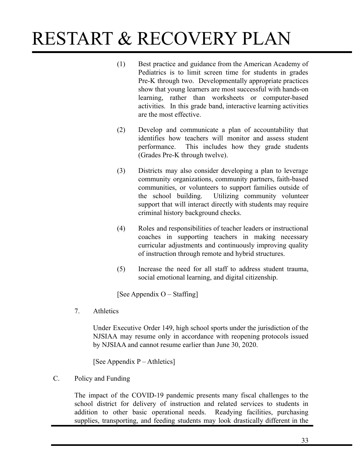- (1) Best practice and guidance from the American Academy of Pediatrics is to limit screen time for students in grades Pre-K through two. Developmentally appropriate practices show that young learners are most successful with hands-on learning, rather than worksheets or computer-based activities. In this grade band, interactive learning activities are the most effective.
- (2) Develop and communicate a plan of accountability that identifies how teachers will monitor and assess student performance. This includes how they grade students (Grades Pre-K through twelve).
- (3) Districts may also consider developing a plan to leverage community organizations, community partners, faith-based communities, or volunteers to support families outside of the school building. Utilizing community volunteer support that will interact directly with students may require criminal history background checks.
- (4) Roles and responsibilities of teacher leaders or instructional coaches in supporting teachers in making necessary curricular adjustments and continuously improving quality of instruction through remote and hybrid structures.
- (5) Increase the need for all staff to address student trauma, social emotional learning, and digital citizenship.

[See Appendix O – Staffing]

7. Athletics

Under Executive Order 149, high school sports under the jurisdiction of the NJSIAA may resume only in accordance with reopening protocols issued by NJSIAA and cannot resume earlier than June 30, 2020.

[See Appendix P – Athletics]

#### C. Policy and Funding

The impact of the COVID-19 pandemic presents many fiscal challenges to the school district for delivery of instruction and related services to students in addition to other basic operational needs. Readying facilities, purchasing supplies, transporting, and feeding students may look drastically different in the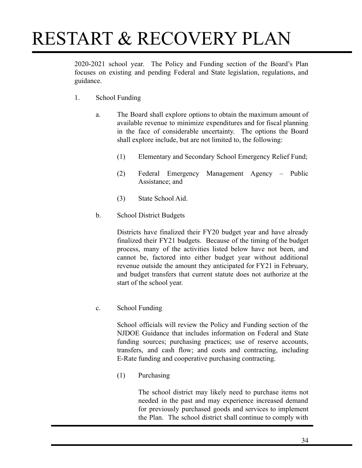2020-2021 school year. The Policy and Funding section of the Board's Plan focuses on existing and pending Federal and State legislation, regulations, and guidance.

- 1. School Funding
	- a. The Board shall explore options to obtain the maximum amount of available revenue to minimize expenditures and for fiscal planning in the face of considerable uncertainty. The options the Board shall explore include, but are not limited to, the following:
		- (1) Elementary and Secondary School Emergency Relief Fund;
		- (2) Federal Emergency Management Agency Public Assistance; and
		- (3) State School Aid.
	- b. School District Budgets

Districts have finalized their FY20 budget year and have already finalized their FY21 budgets. Because of the timing of the budget process, many of the activities listed below have not been, and cannot be, factored into either budget year without additional revenue outside the amount they anticipated for FY21 in February, and budget transfers that current statute does not authorize at the start of the school year.

c. School Funding

School officials will review the Policy and Funding section of the NJDOE Guidance that includes information on Federal and State funding sources; purchasing practices; use of reserve accounts, transfers, and cash flow; and costs and contracting, including E-Rate funding and cooperative purchasing contracting.

(1) Purchasing

The school district may likely need to purchase items not needed in the past and may experience increased demand for previously purchased goods and services to implement the Plan. The school district shall continue to comply with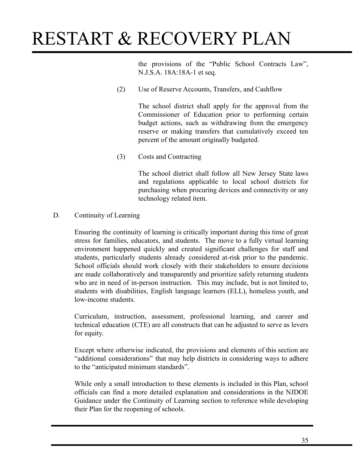the provisions of the "Public School Contracts Law", N.J.S.A. 18A:18A-1 et seq.

(2) Use of Reserve Accounts, Transfers, and Cashflow

The school district shall apply for the approval from the Commissioner of Education prior to performing certain budget actions, such as withdrawing from the emergency reserve or making transfers that cumulatively exceed ten percent of the amount originally budgeted.

(3) Costs and Contracting

The school district shall follow all New Jersey State laws and regulations applicable to local school districts for purchasing when procuring devices and connectivity or any technology related item.

D. Continuity of Learning

Ensuring the continuity of learning is critically important during this time of great stress for families, educators, and students. The move to a fully virtual learning environment happened quickly and created significant challenges for staff and students, particularly students already considered at-risk prior to the pandemic. School officials should work closely with their stakeholders to ensure decisions are made collaboratively and transparently and prioritize safely returning students who are in need of in-person instruction. This may include, but is not limited to, students with disabilities, English language learners (ELL), homeless youth, and low-income students.

Curriculum, instruction, assessment, professional learning, and career and technical education (CTE) are all constructs that can be adjusted to serve as levers for equity.

Except where otherwise indicated, the provisions and elements of this section are "additional considerations" that may help districts in considering ways to adhere to the "anticipated minimum standards".

While only a small introduction to these elements is included in this Plan, school officials can find a more detailed explanation and considerations in the NJDOE Guidance under the Continuity of Learning section to reference while developing their Plan for the reopening of schools.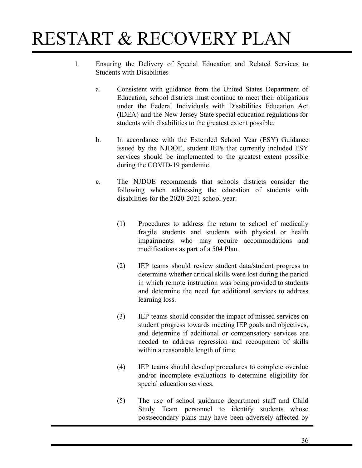- 1. Ensuring the Delivery of Special Education and Related Services to Students with Disabilities
	- a. Consistent with guidance from the United States Department of Education, school districts must continue to meet their obligations under the Federal Individuals with Disabilities Education Act (IDEA) and the New Jersey State special education regulations for students with disabilities to the greatest extent possible.
	- b. In accordance with the Extended School Year (ESY) Guidance issued by the NJDOE, student IEPs that currently included ESY services should be implemented to the greatest extent possible during the COVID-19 pandemic.
	- c. The NJDOE recommends that schools districts consider the following when addressing the education of students with disabilities for the 2020-2021 school year:
		- (1) Procedures to address the return to school of medically fragile students and students with physical or health impairments who may require accommodations and modifications as part of a 504 Plan.
		- (2) IEP teams should review student data/student progress to determine whether critical skills were lost during the period in which remote instruction was being provided to students and determine the need for additional services to address learning loss.
		- (3) IEP teams should consider the impact of missed services on student progress towards meeting IEP goals and objectives, and determine if additional or compensatory services are needed to address regression and recoupment of skills within a reasonable length of time.
		- (4) IEP teams should develop procedures to complete overdue and/or incomplete evaluations to determine eligibility for special education services.
		- (5) The use of school guidance department staff and Child Study Team personnel to identify students whose postsecondary plans may have been adversely affected by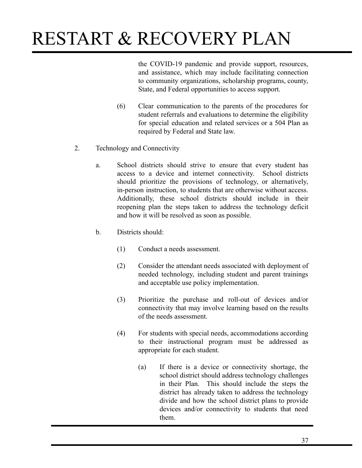the COVID-19 pandemic and provide support, resources, and assistance, which may include facilitating connection to community organizations, scholarship programs, county, State, and Federal opportunities to access support.

- (6) Clear communication to the parents of the procedures for student referrals and evaluations to determine the eligibility for special education and related services or a 504 Plan as required by Federal and State law.
- 2. Technology and Connectivity
	- a. School districts should strive to ensure that every student has access to a device and internet connectivity. School districts should prioritize the provisions of technology, or alternatively, in-person instruction, to students that are otherwise without access. Additionally, these school districts should include in their reopening plan the steps taken to address the technology deficit and how it will be resolved as soon as possible.
	- b. Districts should:
		- (1) Conduct a needs assessment.
		- (2) Consider the attendant needs associated with deployment of needed technology, including student and parent trainings and acceptable use policy implementation.
		- (3) Prioritize the purchase and roll-out of devices and/or connectivity that may involve learning based on the results of the needs assessment.
		- (4) For students with special needs, accommodations according to their instructional program must be addressed as appropriate for each student.
			- (a) If there is a device or connectivity shortage, the school district should address technology challenges in their Plan. This should include the steps the district has already taken to address the technology divide and how the school district plans to provide devices and/or connectivity to students that need them.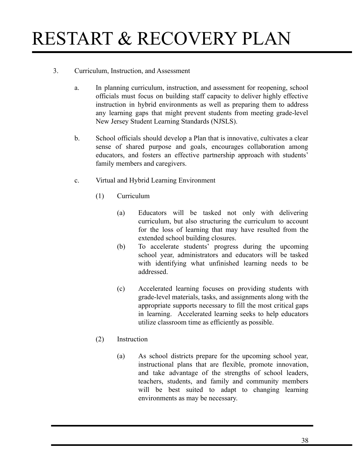#### 3. Curriculum, Instruction, and Assessment

- a. In planning curriculum, instruction, and assessment for reopening, school officials must focus on building staff capacity to deliver highly effective instruction in hybrid environments as well as preparing them to address any learning gaps that might prevent students from meeting grade-level New Jersey Student Learning Standards (NJSLS).
- b. School officials should develop a Plan that is innovative, cultivates a clear sense of shared purpose and goals, encourages collaboration among educators, and fosters an effective partnership approach with students' family members and caregivers.
- c. Virtual and Hybrid Learning Environment
	- (1) Curriculum
		- (a) Educators will be tasked not only with delivering curriculum, but also structuring the curriculum to account for the loss of learning that may have resulted from the extended school building closures.
		- (b) To accelerate students' progress during the upcoming school year, administrators and educators will be tasked with identifying what unfinished learning needs to be addressed.
		- (c) Accelerated learning focuses on providing students with grade-level materials, tasks, and assignments along with the appropriate supports necessary to fill the most critical gaps in learning. Accelerated learning seeks to help educators utilize classroom time as efficiently as possible.

### (2) Instruction

(a) As school districts prepare for the upcoming school year, instructional plans that are flexible, promote innovation, and take advantage of the strengths of school leaders, teachers, students, and family and community members will be best suited to adapt to changing learning environments as may be necessary.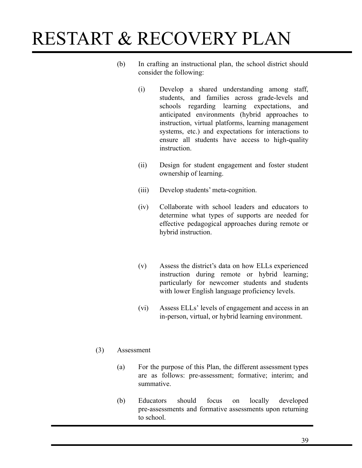- (b) In crafting an instructional plan, the school district should consider the following:
	- (i) Develop a shared understanding among staff, students, and families across grade-levels and schools regarding learning expectations, and anticipated environments (hybrid approaches to instruction, virtual platforms, learning management systems, etc.) and expectations for interactions to ensure all students have access to high-quality **instruction**
	- (ii) Design for student engagement and foster student ownership of learning.
	- (iii) Develop students' meta-cognition.
	- (iv) Collaborate with school leaders and educators to determine what types of supports are needed for effective pedagogical approaches during remote or hybrid instruction.
	- (v) Assess the district's data on how ELLs experienced instruction during remote or hybrid learning; particularly for newcomer students and students with lower English language proficiency levels.
	- (vi) Assess ELLs' levels of engagement and access in an in-person, virtual, or hybrid learning environment.

### (3) Assessment

- (a) For the purpose of this Plan, the different assessment types are as follows: pre-assessment; formative; interim; and summative.
- (b) Educators should focus on locally developed pre-assessments and formative assessments upon returning to school.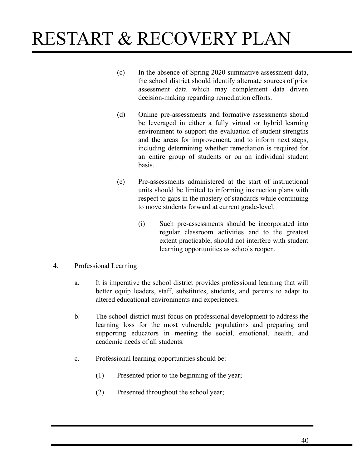- (c) In the absence of Spring 2020 summative assessment data, the school district should identify alternate sources of prior assessment data which may complement data driven decision-making regarding remediation efforts.
- (d) Online pre-assessments and formative assessments should be leveraged in either a fully virtual or hybrid learning environment to support the evaluation of student strengths and the areas for improvement, and to inform next steps, including determining whether remediation is required for an entire group of students or on an individual student basis.
- (e) Pre-assessments administered at the start of instructional units should be limited to informing instruction plans with respect to gaps in the mastery of standards while continuing to move students forward at current grade-level.
	- (i) Such pre-assessments should be incorporated into regular classroom activities and to the greatest extent practicable, should not interfere with student learning opportunities as schools reopen.
- 4. Professional Learning
	- a. It is imperative the school district provides professional learning that will better equip leaders, staff, substitutes, students, and parents to adapt to altered educational environments and experiences.
	- b. The school district must focus on professional development to address the learning loss for the most vulnerable populations and preparing and supporting educators in meeting the social, emotional, health, and academic needs of all students.
	- c. Professional learning opportunities should be:
		- (1) Presented prior to the beginning of the year;
		- (2) Presented throughout the school year;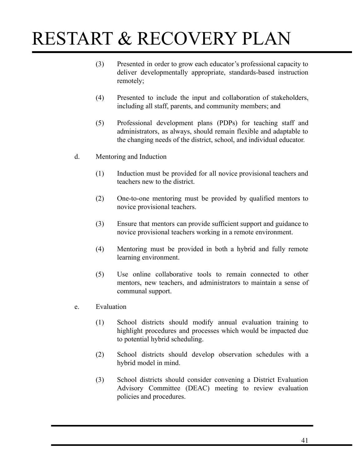- (3) Presented in order to grow each educator's professional capacity to deliver developmentally appropriate, standards-based instruction remotely;
- (4) Presented to include the input and collaboration of stakeholders, including all staff, parents, and community members; and
- (5) Professional development plans (PDPs) for teaching staff and administrators, as always, should remain flexible and adaptable to the changing needs of the district, school, and individual educator.
- d. Mentoring and Induction
	- (1) Induction must be provided for all novice provisional teachers and teachers new to the district.
	- (2) One-to-one mentoring must be provided by qualified mentors to novice provisional teachers.
	- (3) Ensure that mentors can provide sufficient support and guidance to novice provisional teachers working in a remote environment.
	- (4) Mentoring must be provided in both a hybrid and fully remote learning environment.
	- (5) Use online collaborative tools to remain connected to other mentors, new teachers, and administrators to maintain a sense of communal support.
- e. Evaluation
	- (1) School districts should modify annual evaluation training to highlight procedures and processes which would be impacted due to potential hybrid scheduling.
	- (2) School districts should develop observation schedules with a hybrid model in mind.
	- (3) School districts should consider convening a District Evaluation Advisory Committee (DEAC) meeting to review evaluation policies and procedures.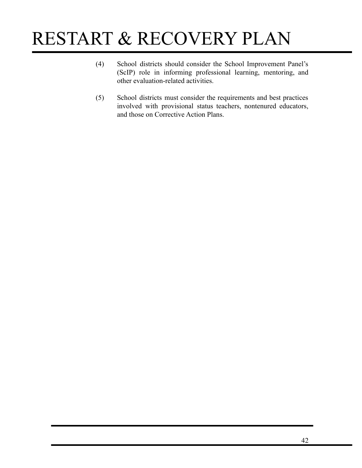- (4) School districts should consider the School Improvement Panel's (ScIP) role in informing professional learning, mentoring, and other evaluation-related activities.
- (5) School districts must consider the requirements and best practices involved with provisional status teachers, nontenured educators, and those on Corrective Action Plans.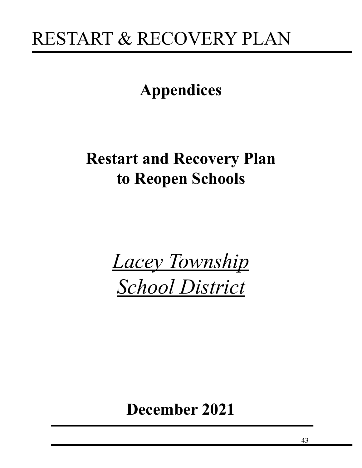### **Appendices**

### **Restart and Recovery Plan to Reopen Schools**

*Lacey Township School District*

### **December 2021**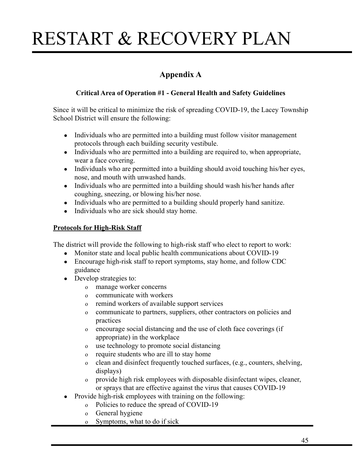### **Appendix A**

### **Critical Area of Operation #1 - General Health and Safety Guidelines**

Since it will be critical to minimize the risk of spreading COVID-19, the Lacey Township School District will ensure the following:

- Individuals who are permitted into a building must follow visitor management protocols through each building security vestibule.
- Individuals who are permitted into a building are required to, when appropriate, wear a face covering.
- Individuals who are permitted into a building should avoid touching his/her eyes, nose, and mouth with unwashed hands.
- Individuals who are permitted into a building should wash his/her hands after coughing, sneezing, or blowing his/her nose.
- Individuals who are permitted to a building should properly hand sanitize.
- Individuals who are sick should stay home.

### **Protocols for High-Risk Staff**

The district will provide the following to high-risk staff who elect to report to work:

- Monitor state and local public health communications about COVID-19
- Encourage high-risk staff to report symptoms, stay home, and follow CDC guidance
- Develop strategies to:
	- o manage worker concerns
	- o communicate with workers
	- o remind workers of available support services
	- o communicate to partners, suppliers, other contractors on policies and practices
	- o encourage social distancing and the use of cloth face coverings (if appropriate) in the workplace
	- o use technology to promote social distancing
	- o require students who are ill to stay home
	- o clean and disinfect frequently touched surfaces, (e.g., counters, shelving, displays)
	- o provide high risk employees with disposable disinfectant wipes, cleaner, or sprays that are effective against the virus that causes COVID-19
- Provide high-risk employees with training on the following:
	- o Policies to reduce the spread of COVID-19
	- o General hygiene
	- o Symptoms, what to do if sick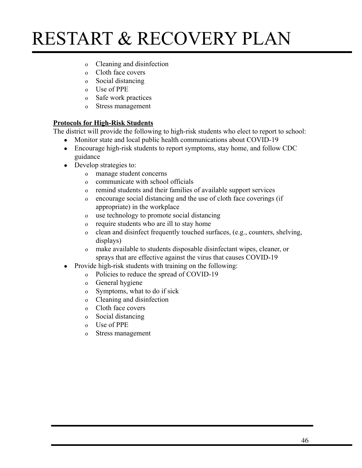- o Cleaning and disinfection
- o Cloth face covers
- o Social distancing
- o Use of PPE
- o Safe work practices
- o Stress management

#### **Protocols for High-Risk Students**

The district will provide the following to high-risk students who elect to report to school:

- Monitor state and local public health communications about COVID-19
- Encourage high-risk students to report symptoms, stay home, and follow CDC guidance
- Develop strategies to:
	- o manage student concerns
	- o communicate with school officials
	- o remind students and their families of available support services
	- o encourage social distancing and the use of cloth face coverings (if appropriate) in the workplace
	- o use technology to promote social distancing
	- o require students who are ill to stay home
	- o clean and disinfect frequently touched surfaces, (e.g., counters, shelving, displays)
	- o make available to students disposable disinfectant wipes, cleaner, or sprays that are effective against the virus that causes COVID-19
- Provide high-risk students with training on the following:
	- o Policies to reduce the spread of COVID-19
	- o General hygiene
	- o Symptoms, what to do if sick
	- o Cleaning and disinfection
	- o Cloth face covers
	- o Social distancing
	- o Use of PPE
	- o Stress management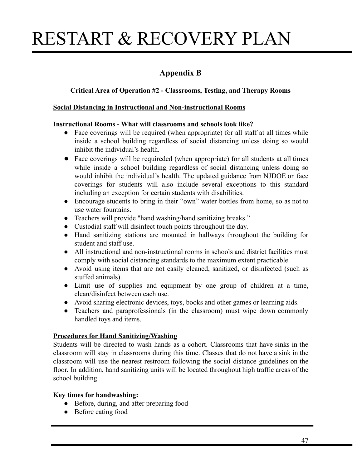### **Appendix B**

#### **Critical Area of Operation #2 - Classrooms, Testing, and Therapy Rooms**

#### **Social Distancing in Instructional and Non-instructional Rooms**

#### **Instructional Rooms - What will classrooms and schools look like?**

- Face coverings will be required (when appropriate) for all staff at all times while inside a school building regardless of social distancing unless doing so would inhibit the individual's health.
- Face coverings will be requireded (when appropriate) for all students at all times while inside a school building regardless of social distancing unless doing so would inhibit the individual's health. The updated guidance from NJDOE on face coverings for students will also include several exceptions to this standard including an exception for certain students with disabilities.
- Encourage students to bring in their "own" water bottles from home, so as not to use water fountains.
- Teachers will provide "hand washing/hand sanitizing breaks."
- Custodial staff will disinfect touch points throughout the day.
- Hand sanitizing stations are mounted in hallways throughout the building for student and staff use.
- All instructional and non-instructional rooms in schools and district facilities must comply with social distancing standards to the maximum extent practicable.
- Avoid using items that are not easily cleaned, sanitized, or disinfected (such as stuffed animals).
- Limit use of supplies and equipment by one group of children at a time, clean/disinfect between each use.
- Avoid sharing electronic devices, toys, books and other games or learning aids.
- Teachers and paraprofessionals (in the classroom) must wipe down commonly handled toys and items.

#### **Procedures for Hand Sanitizing/Washing**

Students will be directed to wash hands as a cohort. Classrooms that have sinks in the classroom will stay in classrooms during this time. Classes that do not have a sink in the classroom will use the nearest restroom following the social distance guidelines on the floor. In addition, hand sanitizing units will be located throughout high traffic areas of the school building.

#### **Key times for handwashing:**

- Before, during, and after preparing food
- Before eating food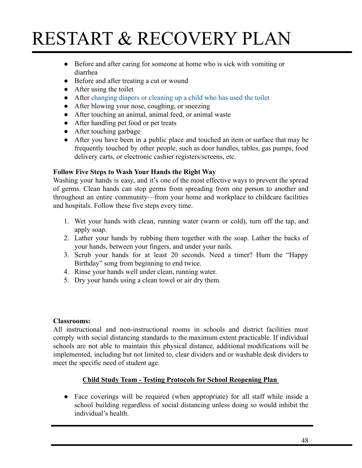- Before and after caring for someone at home who is sick with vomiting or diarrhea
- Before and after treating a cut or wound
- $\bullet$  After using the toilet
- After [changing diapers or cleaning up a child who](https://www.cdc.gov/healthywater/hygiene/diapering/index.html) has used the toilet
- After blowing your nose, coughing, or sneezing
- After touching an animal, animal feed, or animal waste
- After handling pet food or pet treats
- After touching garbage
- After you have been in a public place and touched an item or surface that may be frequently touched by other people, such as door handles, tables, gas pumps, food delivery carts, or electronic cashier registers/screens, etc.

#### **Follow Five Steps to Wash Your Hands the Right Way**

Washing your hands is easy, and it's one of the most effective ways to prevent the spread of germs. Clean hands can stop germs from spreading from one person to another and throughout an entire community—from your home and workplace to childcare facilities and hospitals. Follow these five steps every time.

- 1. Wet your hands with clean, running water (warm or cold), turn off the tap, and apply soap.
- 2. Lather your hands by rubbing them together with the soap. Lather the backs of your hands, between your fingers, and under your nails.
- 3. Scrub your hands for at least 20 seconds. Need a timer? Hum the "Happy Birthday" song from beginning to end twice.
- 4. Rinse your hands well under clean, running water.
- 5. Dry your hands using a clean towel or air dry them.

#### **Classrooms:**

All instructional and non-instructional rooms in schools and district facilities must comply with social distancing standards to the maximum extent practicable. If individual schools are not able to maintain this physical distance, additional modifications will be implemented, including but not limited to, clear dividers and or washable desk dividers to meet the specific need of student age.

### **Child Study Team - Testing Protocols for School Reopening Plan**

● Face coverings will be required (when appropriate) for all staff while inside a school building regardless of social distancing unless doing so would inhibit the individual's health.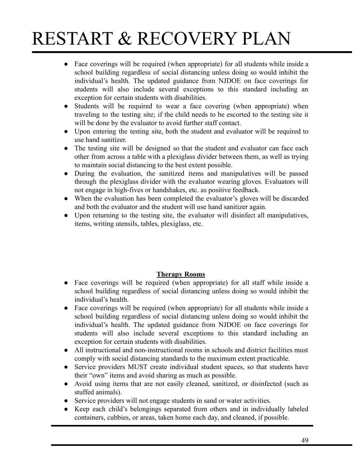- Face coverings will be required (when appropriate) for all students while inside a school building regardless of social distancing unless doing so would inhibit the individual's health. The updated guidance from NJDOE on face coverings for students will also include several exceptions to this standard including an exception for certain students with disabilities.
- Students will be required to wear a face covering (when appropriate) when traveling to the testing site; if the child needs to be escorted to the testing site it will be done by the evaluator to avoid further staff contact.
- Upon entering the testing site, both the student and evaluator will be required to use hand sanitizer.
- The testing site will be designed so that the student and evaluator can face each other from across a table with a plexiglass divider between them, as well as trying to maintain social distancing to the best extent possible.
- During the evaluation, the sanitized items and manipulatives will be passed through the plexiglass divider with the evaluator wearing gloves. Evaluators will not engage in high-fives or handshakes, etc. as positive feedback.
- When the evaluation has been completed the evaluator's gloves will be discarded and both the evaluator and the student will use hand sanitizer again.
- Upon returning to the testing site, the evaluator will disinfect all manipulatives, items, writing utensils, tables, plexiglass, etc.

### **Therapy Rooms**

- Face coverings will be required (when appropriate) for all staff while inside a school building regardless of social distancing unless doing so would inhibit the individual's health.
- Face coverings will be required (when appropriate) for all students while inside a school building regardless of social distancing unless doing so would inhibit the individual's health. The updated guidance from NJDOE on face coverings for students will also include several exceptions to this standard including an exception for certain students with disabilities.
- All instructional and non-instructional rooms in schools and district facilities must comply with social distancing standards to the maximum extent practicable.
- Service providers MUST create individual student spaces, so that students have their "own" items and avoid sharing as much as possible.
- Avoid using items that are not easily cleaned, sanitized, or disinfected (such as stuffed animals).
- Service providers will not engage students in sand or water activities.
- Keep each child's belongings separated from others and in individually labeled containers, cubbies, or areas, taken home each day, and cleaned, if possible.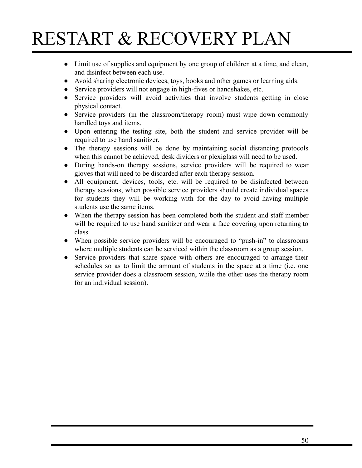- Limit use of supplies and equipment by one group of children at a time, and clean, and disinfect between each use.
- Avoid sharing electronic devices, toys, books and other games or learning aids.
- Service providers will not engage in high-fives or handshakes, etc.
- Service providers will avoid activities that involve students getting in close physical contact.
- Service providers (in the classroom/therapy room) must wipe down commonly handled toys and items.
- Upon entering the testing site, both the student and service provider will be required to use hand sanitizer.
- The therapy sessions will be done by maintaining social distancing protocols when this cannot be achieved, desk dividers or plexiglass will need to be used.
- During hands-on therapy sessions, service providers will be required to wear gloves that will need to be discarded after each therapy session.
- All equipment, devices, tools, etc. will be required to be disinfected between therapy sessions, when possible service providers should create individual spaces for students they will be working with for the day to avoid having multiple students use the same items.
- When the therapy session has been completed both the student and staff member will be required to use hand sanitizer and wear a face covering upon returning to class.
- When possible service providers will be encouraged to "push-in" to classrooms where multiple students can be serviced within the classroom as a group session.
- Service providers that share space with others are encouraged to arrange their schedules so as to limit the amount of students in the space at a time (i.e. one service provider does a classroom session, while the other uses the therapy room for an individual session).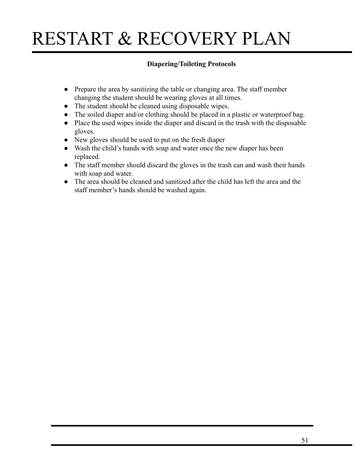### **Diapering/Toileting Protocols**

- Prepare the area by sanitizing the table or changing area. The staff member changing the student should be wearing gloves at all times.
- The student should be cleaned using disposable wipes.
- The soiled diaper and/or clothing should be placed in a plastic or waterproof bag.
- Place the used wipes inside the diaper and discard in the trash with the disposable gloves.
- New gloves should be used to put on the fresh diaper
- Wash the child's hands with soap and water once the new diaper has been replaced.
- The staff member should discard the gloves in the trash can and wash their hands with soap and water.
- The area should be cleaned and sanitized after the child has left the area and the staff member's hands should be washed again.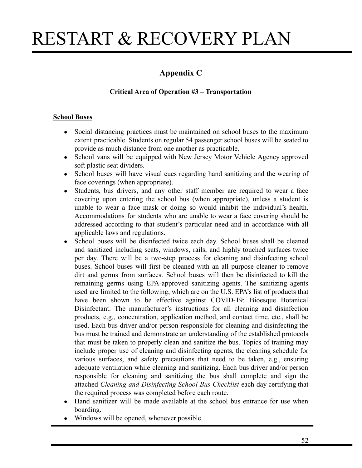### **Appendix C**

### **Critical Area of Operation #3 – Transportation**

#### **School Buses**

- Social distancing practices must be maintained on school buses to the maximum extent practicable. Students on regular 54 passenger school buses will be seated to provide as much distance from one another as practicable.
- School vans will be equipped with New Jersey Motor Vehicle Agency approved soft plastic seat dividers.
- School buses will have visual cues regarding hand sanitizing and the wearing of face coverings (when appropriate).
- Students, bus drivers, and any other staff member are required to wear a face covering upon entering the school bus (when appropriate), unless a student is unable to wear a face mask or doing so would inhibit the individual's health. Accommodations for students who are unable to wear a face covering should be addressed according to that student's particular need and in accordance with all applicable laws and regulations.
- School buses will be disinfected twice each day. School buses shall be cleaned and sanitized including seats, windows, rails, and highly touched surfaces twice per day. There will be a two-step process for cleaning and disinfecting school buses. School buses will first be cleaned with an all purpose cleaner to remove dirt and germs from surfaces. School buses will then be disinfected to kill the remaining germs using EPA-approved sanitizing agents. The sanitizing agents used are limited to the following, which are on the U.S. EPA's list of products that have been shown to be effective against COVID-19: Bioesque Botanical Disinfectant. The manufacturer's instructions for all cleaning and disinfection products, e.g., concentration, application method, and contact time, etc., shall be used. Each bus driver and/or person responsible for cleaning and disinfecting the bus must be trained and demonstrate an understanding of the established protocols that must be taken to properly clean and sanitize the bus. Topics of training may include proper use of cleaning and disinfecting agents, the cleaning schedule for various surfaces, and safety precautions that need to be taken, e.g., ensuring adequate ventilation while cleaning and sanitizing. Each bus driver and/or person responsible for cleaning and sanitizing the bus shall complete and sign the attached *Cleaning and Disinfecting School Bus Checklist* each day certifying that the required process was completed before each route.
- Hand sanitizer will be made available at the school bus entrance for use when boarding.
- Windows will be opened, whenever possible.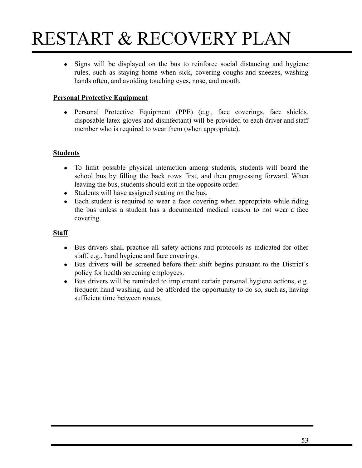• Signs will be displayed on the bus to reinforce social distancing and hygiene rules, such as staying home when sick, covering coughs and sneezes, washing hands often, and avoiding touching eyes, nose, and mouth.

### **Personal Protective Equipment**

• Personal Protective Equipment (PPE) (e.g., face coverings, face shields, disposable latex gloves and disinfectant) will be provided to each driver and staff member who is required to wear them (when appropriate).

#### **Students**

- To limit possible physical interaction among students, students will board the school bus by filling the back rows first, and then progressing forward. When leaving the bus, students should exit in the opposite order.
- Students will have assigned seating on the bus.
- Each student is required to wear a face covering when appropriate while riding the bus unless a student has a documented medical reason to not wear a face covering.

#### **Staff**

- Bus drivers shall practice all safety actions and protocols as indicated for other staff, e.g., hand hygiene and face coverings.
- Bus drivers will be screened before their shift begins pursuant to the District's policy for health screening employees.
- Bus drivers will be reminded to implement certain personal hygiene actions, e.g. frequent hand washing, and be afforded the opportunity to do so, such as, having sufficient time between routes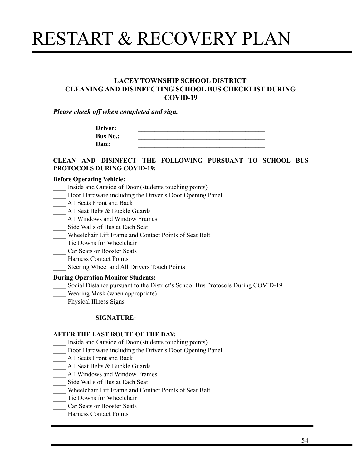#### **LACEY TOWNSHIP SCHOOL DISTRICT CLEANING AND DISINFECTING SCHOOL BUS CHECKLIST DURING COVID-19**

*Please check off when completed and sign.*

| Driver:         |  |
|-----------------|--|
| <b>Bus No.:</b> |  |
| Date:           |  |

#### **CLEAN AND DISINFECT THE FOLLOWING PURSUANT TO SCHOOL BUS PROTOCOLS DURING COVID-19:**

#### **Before Operating Vehicle:**

- \_\_\_\_ Inside and Outside of Door (students touching points)
- Door Hardware including the Driver's Door Opening Panel
- \_\_\_\_ All Seats Front and Back
- All Seat Belts & Buckle Guards
- \_\_\_\_ All Windows and Window Frames
- \_\_\_\_ Side Walls of Bus at Each Seat
- \_\_\_\_ Wheelchair Lift Frame and Contact Points of Seat Belt
- \_\_\_\_ Tie Downs for Wheelchair
- \_\_\_\_ Car Seats or Booster Seats
- \_\_\_\_ Harness Contact Points
- \_\_\_\_ Steering Wheel and All Drivers Touch Points

#### **During Operation Monitor Students:**

- \_\_\_\_ Social Distance pursuant to the District's School Bus Protocols During COVID-19
- Wearing Mask (when appropriate)
- \_\_\_\_ Physical Illness Signs

#### $SIGNATURE:$

#### **AFTER THE LAST ROUTE OF THE DAY:**

- \_\_\_\_ Inside and Outside of Door (students touching points)
- \_\_\_\_ Door Hardware including the Driver's Door Opening Panel
- \_\_\_\_ All Seats Front and Back
- All Seat Belts & Buckle Guards
- **Example 3** All Windows and Window Frames
- \_\_\_\_ Side Walls of Bus at Each Seat
- \_\_\_\_ Wheelchair Lift Frame and Contact Points of Seat Belt
- Tie Downs for Wheelchair
- \_\_\_\_ Car Seats or Booster Seats
- \_\_\_\_ Harness Contact Points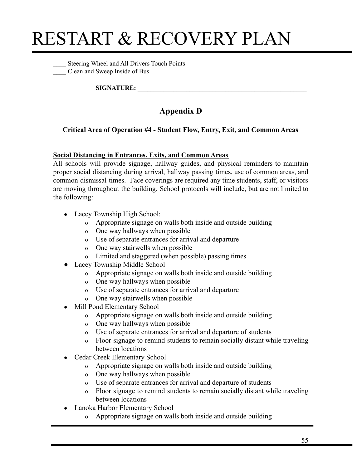\_\_\_\_ Steering Wheel and All Drivers Touch Points \_\_\_\_ Clean and Sweep Inside of Bus

 $SIGNATURE:$ 

### **Appendix D**

### **Critical Area of Operation #4 - Student Flow, Entry, Exit, and Common Areas**

### **Social Distancing in Entrances, Exits, and Common Areas**

All schools will provide signage, hallway guides, and physical reminders to maintain proper social distancing during arrival, hallway passing times, use of common areas, and common dismissal times. Face coverings are required any time students, staff, or visitors are moving throughout the building. School protocols will include, but are not limited to the following:

- Lacey Township High School:
	- o Appropriate signage on walls both inside and outside building
	- o One way hallways when possible
	- o Use of separate entrances for arrival and departure
	- o One way stairwells when possible
	- o Limited and staggered (when possible) passing times
- Lacey Township Middle School
	- o Appropriate signage on walls both inside and outside building
	- o One way hallways when possible
	- o Use of separate entrances for arrival and departure
	- o One way stairwells when possible
- Mill Pond Elementary School
	- o Appropriate signage on walls both inside and outside building
	- o One way hallways when possible
	- o Use of separate entrances for arrival and departure of students
	- o Floor signage to remind students to remain socially distant while traveling between locations
- Cedar Creek Elementary School
	- o Appropriate signage on walls both inside and outside building
	- o One way hallways when possible
	- o Use of separate entrances for arrival and departure of students
	- o Floor signage to remind students to remain socially distant while traveling between locations
- Lanoka Harbor Elementary School
	- o Appropriate signage on walls both inside and outside building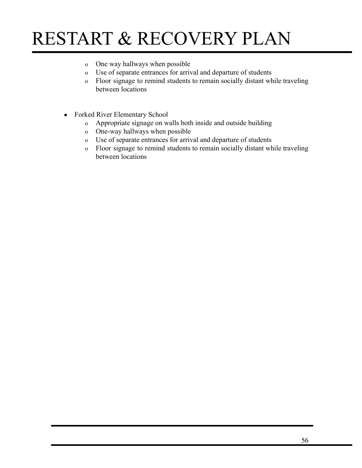- o One way hallways when possible
- o Use of separate entrances for arrival and departure of students
- o Floor signage to remind students to remain socially distant while traveling between locations
- Forked River Elementary School
	- o Appropriate signage on walls both inside and outside building
	- o One-way hallways when possible
	- o Use of separate entrances for arrival and departure of students
	- o Floor signage to remind students to remain socially distant while traveling between locations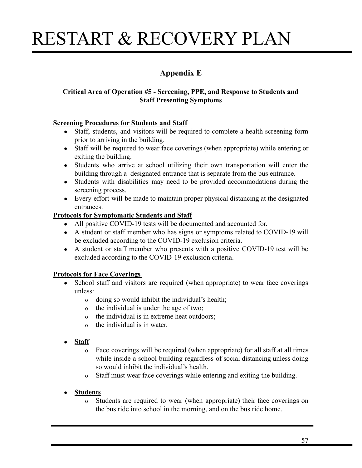### **Appendix E**

### **Critical Area of Operation #5 - Screening, PPE, and Response to Students and Staff Presenting Symptoms**

#### **Screening Procedures for Students and Staff**

- Staff, students, and visitors will be required to complete a health screening form prior to arriving in the building.
- Staff will be required to wear face coverings (when appropriate) while entering or exiting the building.
- Students who arrive at school utilizing their own transportation will enter the building through a designated entrance that is separate from the bus entrance.
- Students with disabilities may need to be provided accommodations during the screening process.
- Every effort will be made to maintain proper physical distancing at the designated entrances.

#### **Protocols for Symptomatic Students and Staff**

- All positive COVID-19 tests will be documented and accounted for.
- A student or staff member who has signs or symptoms related to COVID-19 will be excluded according to the COVID-19 exclusion criteria.
- A student or staff member who presents with a positive COVID-19 test will be excluded according to the COVID-19 exclusion criteria.

### **Protocols for Face Coverings**

- School staff and visitors are required (when appropriate) to wear face coverings unless:
	- o doing so would inhibit the individual's health;
	- o the individual is under the age of two;
	- o the individual is in extreme heat outdoors;
	- o the individual is in water.
- **● Staff**
	- o Face coverings will be required (when appropriate) for all staff at all times while inside a school building regardless of social distancing unless doing so would inhibit the individual's health.
	- o Staff must wear face coverings while entering and exiting the building.

### **● Students**

**o** Students are required to wear (when appropriate) their face coverings on the bus ride into school in the morning, and on the bus ride home.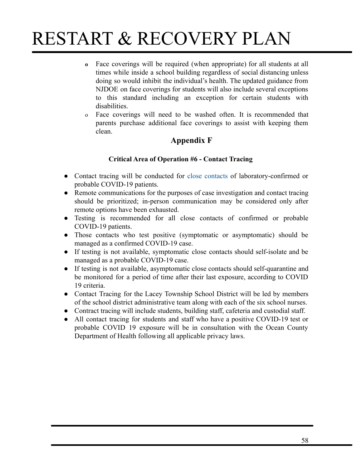- **o** Face coverings will be required (when appropriate) for all students at all times while inside a school building regardless of social distancing unless doing so would inhibit the individual's health. The updated guidance from NJDOE on face coverings for students will also include several exceptions to this standard including an exception for certain students with disabilities.
- o Face coverings will need to be washed often. It is recommended that parents purchase additional face coverings to assist with keeping them clean.

### **Appendix F**

### **Critical Area of Operation #6 - Contact Tracing**

- Contact tracing will be conducted for close [contacts](https://www.cdc.gov/coronavirus/2019-ncov/php/contact-tracing/contact-tracing-plan/appendix.html#contact) of laboratory-confirmed or probable COVID-19 patients.
- Remote communications for the purposes of case investigation and contact tracing should be prioritized; in-person communication may be considered only after remote options have been exhausted.
- Testing is recommended for all close contacts of confirmed or probable COVID-19 patients.
- Those contacts who test positive (symptomatic or asymptomatic) should be [managed as a confirmed COVID-19 case.](https://www.cdc.gov/coronavirus/2019-ncov/php/contact-tracing/contact-tracing-plan/investigating-coivd-19-case.html)
- If testing is not available, symptomatic close contacts should self-isolate and be [managed as a probable COVID-19 case](https://www.cdc.gov/coronavirus/2019-ncov/php/contact-tracing/contact-tracing-plan/investigating-coivd-19-case.html).
- If testing is not available, asymptomatic close contacts should self-quarantine and be monitored for a period of time after their last exposure, according to COVID 19 criteria.
- Contact Tracing for the Lacey Township School District will be led by members of the school district administrative team along with each of the six school nurses.
- Contract tracing will include students, building staff, cafeteria and custodial staff.
- All contact tracing for students and staff who have a positive COVID-19 test or probable COVID 19 exposure will be in consultation with the Ocean County Department of Health following all applicable privacy laws.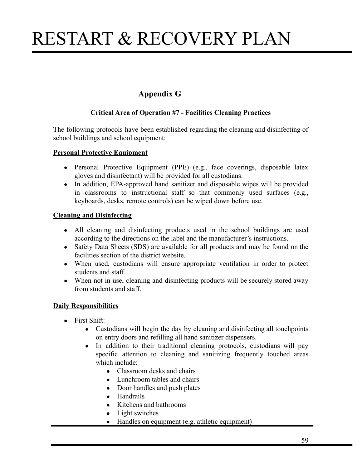### **Appendix G**

### **Critical Area of Operation #7 - Facilities Cleaning Practices**

The following protocols have been established regarding the cleaning and disinfecting of school buildings and school equipment:

#### **Personal Protective Equipment**

- Personal Protective Equipment (PPE) (e.g., face coverings, disposable latex gloves and disinfectant) will be provided for all custodians.
- In addition, EPA-approved hand sanitizer and disposable wipes will be provided in classrooms to instructional staff so that commonly used surfaces (e.g., keyboards, desks, remote controls) can be wiped down before use.

#### **Cleaning and Disinfecting**

- All cleaning and disinfecting products used in the school buildings are used according to the directions on the label and the manufacturer's instructions.
- Safety Data Sheets (SDS) are available for all products and may be found on the facilities section of the district website.
- When used, custodians will ensure appropriate ventilation in order to protect students and staff.
- When not in use, cleaning and disinfecting products will be securely stored away from students and staff.

### **Daily Responsibilities**

- First Shift:
	- Custodians will begin the day by cleaning and disinfecting all touch points on entry doors and refilling all hand sanitizer dispensers.
	- In addition to their traditional cleaning protocols, custodians will pay specific attention to cleaning and sanitizing frequently touched areas which include:
		- Classroom desks and chairs
		- Lunchroom tables and chairs
		- Door handles and push plates
		- Handrails
		- Kitchens and bathrooms
		- Light switches
		- Handles on equipment (e.g. athletic equipment)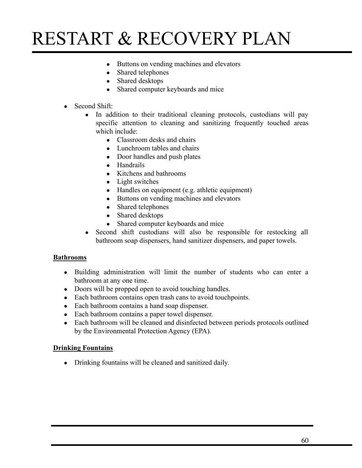- Buttons on vending machines and elevators
- Shared telephones
- Shared desktops
- Shared computer keyboards and mice
- $\bullet$  Second Shift:
	- In addition to their traditional cleaning protocols, custodians will pay specific attention to cleaning and sanitizing frequently touched areas which include:
		- $\bullet$  Classroom desks and chairs
		- Lunchroom tables and chairs
		- Door handles and push plates
		- Handrails
		- Kitchens and bathrooms
		- Light switches
		- Handles on equipment (e.g. athletic equipment)
		- Buttons on vending machines and elevators
		- Shared telephones
		- Shared desktops
		- Shared computer keyboards and mice
	- Second shift custodians will also be responsible for restocking all bathroom soap dispensers, hand sanitizer dispensers, and paper towels.

#### **Bathrooms**

- Building administration will limit the number of students who can enter a bathroom at any one time.
- Doors will be propped open to avoid touching handles.
- Each bathroom contains open trash cans to avoid touch points.
- Each bathroom contains a hand soap dispenser.
- Each bathroom contains a paper towel dispenser.
- Each bathroom will be cleaned and disinfected between periods protocols outlined by the Environmental Protection Agency (EPA).

#### **Drinking Fountains**

• Drinking fountains will be cleaned and sanitized daily.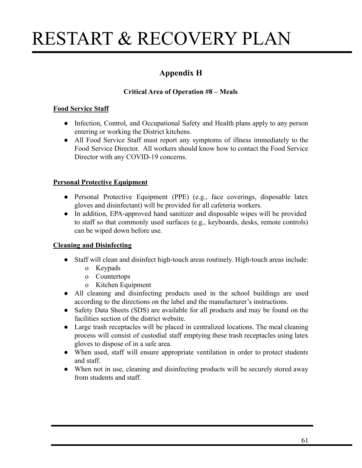### **Appendix H**

### **Critical Area of Operation #8 – Meals**

### **Food Service Staff**

- Infection, Control, and Occupational Safety and Health plans apply to any person entering or working the District kitchens.
- All Food Service Staff must report any symptoms of illness immediately to the Food Service Director. All workers should know how to contact the Food Service Director with any COVID-19 concerns.

### **Personal Protective Equipment**

- Personal Protective Equipment (PPE) (e.g., face coverings, disposable latex gloves and disinfectant) will be provided for all cafeteria workers.
- In addition, EPA-approved hand sanitizer and disposable wipes will be provided to staff so that commonly used surfaces (e.g., keyboards, desks, remote controls) can be wiped down before use.

### **Cleaning and Disinfecting**

- Staff will clean and disinfect high-touch areas routinely. High-touch areas include:
	- o Keypads
	- o Countertops
	- o Kitchen Equipment
- All cleaning and disinfecting products used in the school buildings are used according to the directions on the label and the manufacturer's instructions.
- Safety Data Sheets (SDS) are available for all products and may be found on the facilities section of the district website.
- Large trash receptacles will be placed in centralized locations. The meal cleaning process will consist of custodial staff emptying these trash receptacles using latex gloves to dispose of in a safe area.
- When used, staff will ensure appropriate ventilation in order to protect students and staff.
- When not in use, cleaning and disinfecting products will be securely stored away from students and staff.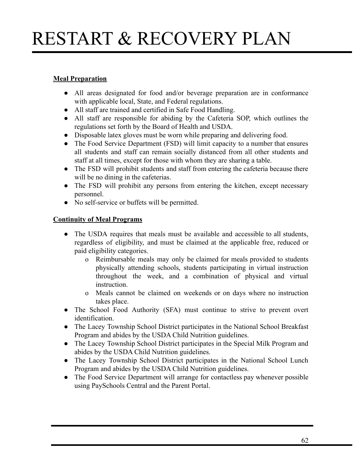### **Meal Preparation**

- All areas designated for food and/or beverage preparation are in conformance with applicable local, State, and Federal regulations.
- All staff are trained and certified in Safe Food Handling.
- All staff are responsible for abiding by the Cafeteria SOP, which outlines the regulations set forth by the Board of Health and USDA.
- Disposable latex gloves must be worn while preparing and delivering food.
- The Food Service Department (FSD) will limit capacity to a number that ensures all students and staff can remain socially distanced from all other students and staff at all times, except for those with whom they are sharing a table.
- The FSD will prohibit students and staff from entering the cafeteria because there will be no dining in the cafeterias.
- The FSD will prohibit any persons from entering the kitchen, except necessary personnel.
- No self-service or buffets will be permitted.

### **Continuity of Meal Programs**

- The USDA requires that meals must be available and accessible to all students, regardless of eligibility, and must be claimed at the applicable free, reduced or paid eligibility categories.
	- o Reimbursable meals may only be claimed for meals provided to students physically attending schools, students participating in virtual instruction throughout the week, and a combination of physical and virtual instruction.
	- o Meals cannot be claimed on weekends or on days where no instruction takes place.
- The School Food Authority (SFA) must continue to strive to prevent overt identification.
- The Lacey Township School District participates in the National School Breakfast Program and abides by the USDA Child Nutrition guidelines.
- The Lacey Township School District participates in the Special Milk Program and abides by the USDA Child Nutrition guidelines.
- The Lacey Township School District participates in the National School Lunch Program and abides by the USDA Child Nutrition guidelines.
- The Food Service Department will arrange for contactless pay whenever possible using PaySchools Central and the Parent Portal.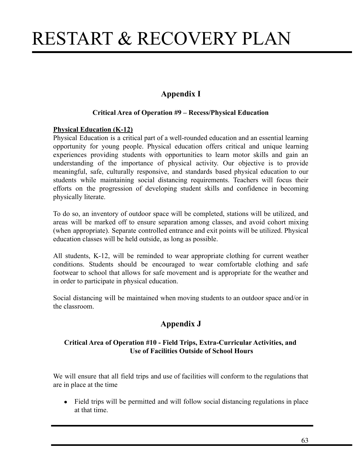### **Appendix I**

#### **Critical Area of Operation #9 – Recess/Physical Education**

#### **Physical Education (K-12)**

Physical Education is a critical part of a well-rounded education and an essential learning opportunity for young people. Physical education offers critical and unique learning experiences providing students with opportunities to learn motor skills and gain an understanding of the importance of physical activity. Our objective is to provide meaningful, safe, culturally responsive, and standards based physical education to our students while maintaining social distancing requirements. Teachers will focus their efforts on the progression of developing student skills and confidence in becoming physically literate.

To do so, an inventory of outdoor space will be completed, stations will be utilized, and areas will be marked off to ensure separation among classes, and avoid cohort mixing (when appropriate). Separate controlled entrance and exit points will be utilized. Physical education classes will be held outside, as long as possible.

All students, K-12, will be reminded to wear appropriate clothing for current weather conditions. Students should be encouraged to wear comfortable clothing and safe footwear to school that allows for safe movement and is appropriate for the weather and in order to participate in physical education.

Social distancing will be maintained when moving students to an outdoor space and/or in the classroom.

### **Appendix J**

#### **Critical Area of Operation #10 - Field Trips, Extra-Curricular Activities, and Use of Facilities Outside of School Hours**

We will ensure that all field trips and use of facilities will conform to the regulations that are in place at the time

• Field trips will be permitted and will follow social distancing regulations in place at that time.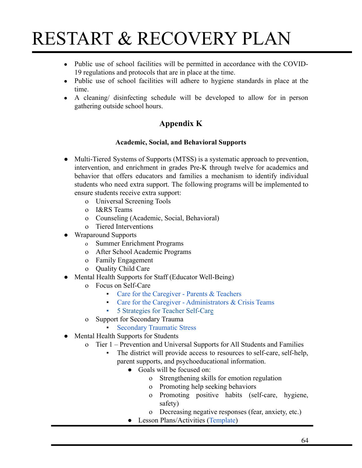- Public use of school facilities will be permitted in accordance with the COVID-19 regulations and protocols that are in place at the time.
- Public use of school facilities will adhere to hygiene standards in place at the time.
- A cleaning/ disinfecting schedule will be developed to allow for in person gathering outside school hours.

### **Appendix K**

### **Academic, Social, and Behavioral Supports**

- Multi-Tiered Systems of Supports (MTSS) is a systematic approach to prevention, intervention, and enrichment in grades Pre-K through twelve for academics and behavior that offers educators and families a mechanism to identify individual students who need extra support. The following programs will be implemented to ensure students receive extra support:
	- o Universal Screening Tools
	- o I&RS Teams
	- o Counseling (Academic, Social, Behavioral)
	- o Tiered Interventions
- Wraparound Supports
	- o Summer Enrichment Programs
	- o After School Academic Programs
	- o Family Engagement
	- o Quality Child Care
- Mental Health Supports for Staff (Educator Well-Being)
	- o Focus on Self-Care
		- [Care for the Caregiver Parents & Teachers](https://drive.google.com/file/d/1buiTIkDqfeszSqRbIwrdMY72s5cigMhU/view?usp=sharing)
		- **[Care for the Caregiver Administrators & Crisis Teams](https://drive.google.com/file/d/1nTJHKL_FJX7b8XiCouTkl5kHZ4KYOE9Q/view?usp=sharing)**
		- [5 Strategies for Teacher Self-Care](http://www.ascd.org/ascd-express/vol15/num13/5-strategies-for-teacher-self-care.aspx)
	- o Support for Secondary Trauma
		- **[Secondary Traumatic Stress](https://www.nctsn.org/sites/default/files/resources/fact-sheet/secondary_traumatic_stress_child_serving_professionals.pdf)**
- Mental Health Supports for Students
	- o Tier 1 Prevention and Universal Supports for All Students and Families
		- The district will provide access to resources to self-care, self-help, parent supports, and psychoeducational information.
			- Goals will be focused on:
				- o Strengthening skills for emotion regulation
				- o Promoting help seeking behaviors
				- o Promoting positive habits (self-care, hygiene, safety)
				- o Decreasing negative responses (fear, anxiety, etc.)
			- Lesson Plans/Activities ([Template](https://drive.google.com/file/d/1ZMgu8hh-po1J_7v6FMtplCL1urcVcz9v/view?usp=sharing))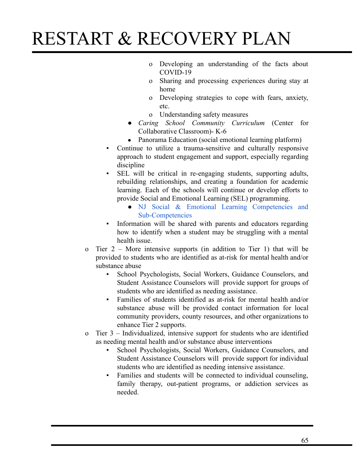- o Developing an understanding of the facts about COVID-19
- o Sharing and processing experiences during stay at home
- o Developing strategies to cope with fears, anxiety, etc.
- o Understanding safety measures
- *Caring School Community Curriculum* (Center for Collaborative Classroom)- K-6
- Panorama Education (social emotional learning platform)
- Continue to utilize a trauma-sensitive and culturally responsive approach to student engagement and support, especially regarding discipline
- SEL will be critical in re-engaging students, supporting adults, rebuilding relationships, and creating a foundation for academic learning. Each of the schools will continue or develop efforts to provide Social and Emotional Learning (SEL) programming.
	- NJ Social & Emotional Learning [Competencies](https://www.state.nj.us/education/students/safety/sandp/sel/SELCompetencies.pdf) and [Sub-Competencies](https://www.state.nj.us/education/students/safety/sandp/sel/SELCompetencies.pdf)
- Information will be shared with parents and educators regarding how to identify when a student may be struggling with a mental health issue.
- o Tier 2 More intensive supports (in addition to Tier 1) that will be provided to students who are identified as at-risk for mental health and/or substance abuse
	- School Psychologists, Social Workers, Guidance Counselors, and Student Assistance Counselors will provide support for groups of students who are identified as needing assistance.
	- Families of students identified as at-risk for mental health and/or substance abuse will be provided contact information for local community providers, county resources, and other organizations to enhance Tier 2 supports.
- o Tier 3 Individualized, intensive support for students who are identified as needing mental health and/or substance abuse interventions
	- School Psychologists, Social Workers, Guidance Counselors, and Student Assistance Counselors will provide support for individual students who are identified as needing intensive assistance.
	- Families and students will be connected to individual counseling, family therapy, out-patient programs, or addiction services as needed.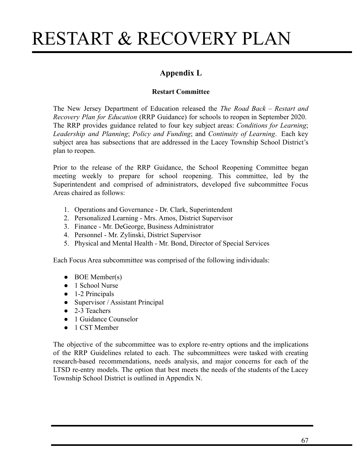### **Appendix L**

### **Restart Committee**

The New Jersey Department of Education released the *The Road Back – Restart and Recovery Plan for Education* (RRP Guidance) for schools to reopen in September 2020. The RRP provides guidance related to four key subject areas: *Conditions for Learning*; *Leadership and Planning*; *Policy and Funding*; and *Continuity of Learning*. Each key subject area has subsections that are addressed in the Lacey Township School District's plan to reopen.

Prior to the release of the RRP Guidance, the School Reopening Committee began meeting weekly to prepare for school reopening. This committee, led by the Superintendent and comprised of administrators, developed five subcommittee Focus Areas chaired as follows:

- 1. Operations and Governance Dr. Clark, Superintendent
- 2. Personalized Learning Mrs. Amos, District Supervisor
- 3. Finance Mr. DeGeorge, Business Administrator
- 4. Personnel Mr. Zylinski, District Supervisor
- 5. Physical and Mental Health Mr. Bond, Director of Special Services

Each Focus Area subcommittee was comprised of the following individuals:

- $\bullet$  BOE Member(s)
- 1 School Nurse
- $\bullet$  1-2 Principals
- Supervisor / Assistant Principal
- 2-3 Teachers
- 1 Guidance Counselor
- 1 CST Member

The objective of the subcommittee was to explore re-entry options and the implications of the RRP Guidelines related to each. The subcommittees were tasked with creating research-based recommendations, needs analysis, and major concerns for each of the LTSD re-entry models. The option that best meets the needs of the students of the Lacey Township School District is outlined in Appendix N.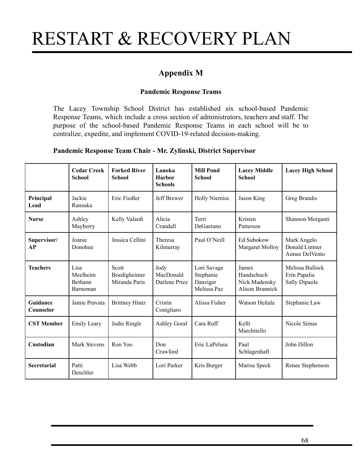### **Appendix M**

#### **Pandemic Response Teams**

The Lacey Township School District has established six school-based Pandemic Response Teams, which include a cross section of administrators, teachers and staff. The purpose of the school-based Pandemic Response Teams in each school will be to centralize, expedite, and implement COVID-19-related decision-making.

#### **Pandemic Response Team Chair - Mr. Zylinski, District Supervisor**

|                       | <b>Cedar Creek</b><br><b>School</b>            | <b>Forked River</b><br><b>School</b>   | Lanoka<br><b>Harbor</b><br><b>Schools</b> | <b>Mill Pond</b><br><b>School</b>                   | <b>Lacey Middle</b><br><b>School</b>                           | <b>Lacey High School</b>                         |
|-----------------------|------------------------------------------------|----------------------------------------|-------------------------------------------|-----------------------------------------------------|----------------------------------------------------------------|--------------------------------------------------|
| Principal<br>Lead     | Jackie<br>Ransuka                              | Eric Fiedler                           | Jeff Brewer                               | <b>Holly Niemiec</b>                                | Jason King                                                     | Greg Brandis                                     |
| <b>Nurse</b>          | Ashley<br>Mayberry                             | Kelly Valardi                          | Alicia<br>Crandall                        | Terri<br>DeGaetano                                  | Kristen<br>Patterson                                           | Shannon Morganti                                 |
| Supervisor/<br>AP     | Joanie<br>Donohue                              | Jessica Cellini                        | Theresa<br>Kilmurray                      | Paul O'Neill                                        | Ed Subokow<br>Margaret Molloy                                  | Mark Angelo<br>Donald Lintner<br>Aimee DelVento  |
| <b>Teachers</b>       | Lisa<br>Meelheim<br><b>Bethann</b><br>Barneman | Scott<br>Boedigheimer<br>Miranda Paris | Jody<br>MacDonald<br>Darlene Price        | Lori Savage<br>Stephanie<br>Danziger<br>Melissa Paz | James<br>Handschuch<br>Nick Madensky<br><b>Alison Brannick</b> | Melissa Bullock<br>Erin Papalia<br>Sally Dipaola |
| Guidance<br>Counselor | Jamie Pravata                                  | <b>Brittney Hintz</b>                  | Cristin<br>Conigliaro                     | Alissa Fisher                                       | Watson Heilala                                                 | Stephanie Law                                    |
| <b>CST Member</b>     | <b>Emily Leary</b>                             | Jodie Ringle                           | <b>Ashley Goral</b>                       | Cara Ruff                                           | Kelli<br>Marchitello                                           | Nicole Simas                                     |
| Custodian             | <b>Mark Stevens</b>                            | Ron Yoo                                | Don<br>Crawford                           | Eric LaPelusa                                       | Paul<br>Schlagenhaft                                           | John Dillon                                      |
| Secretarial           | Patti<br>Deuchler                              | Lisa Webb                              | Lori Parker                               | Kris Burger                                         | Marisa Speck                                                   | Renee Stephenson                                 |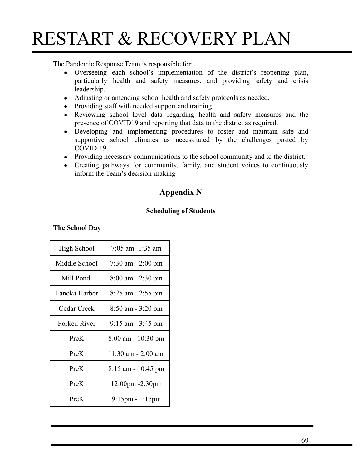The Pandemic Response Team is responsible for:

- Overseeing each school's implementation of the district's reopening plan, particularly health and safety measures, and providing safety and crisis leadership.
- Adjusting or amending school health and safety protocols as needed.
- Providing staff with needed support and training.
- Reviewing school level data regarding health and safety measures and the presence of COVID19 and reporting that data to the district as required.
- Developing and implementing procedures to foster and maintain safe and supportive school climates as necessitated by the challenges posted by COVID-19.
- Providing necessary communications to the school community and to the district.
- **●** Creating pathways for community, family, and student voices to continuously inform the Team's decision-making

### **Appendix N**

#### **Scheduling of Students**

| <b>The School Dav</b> |  |
|-----------------------|--|
|-----------------------|--|

| High School         | $7:05$ am $-1:35$ am              |  |  |
|---------------------|-----------------------------------|--|--|
| Middle School       | $7:30$ am $-2:00$ pm              |  |  |
| Mill Pond           | $8:00$ am $-2:30$ pm              |  |  |
| Lanoka Harbor       | 8:25 am - 2:55 pm                 |  |  |
| Cedar Creek         | $8:50$ am $-3:20$ pm              |  |  |
| <b>Forked River</b> | $9:15$ am $-3:45$ pm              |  |  |
| PreK                | 8:00 am - 10:30 pm                |  |  |
| PreK                | $11:30$ am $- 2:00$ am            |  |  |
| PreK                | $8:15$ am - 10:45 pm              |  |  |
| PreK                | 12:00pm -2:30pm                   |  |  |
| PreK                | $9:15 \text{pm} - 1:15 \text{pm}$ |  |  |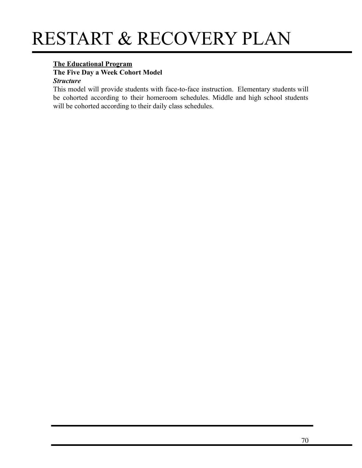### **The Educational Program**

**The Five Day a Week Cohort Model**

#### *Structure*

This model will provide students with face-to-face instruction. Elementary students will be cohorted according to their homeroom schedules. Middle and high school students will be cohorted according to their daily class schedules.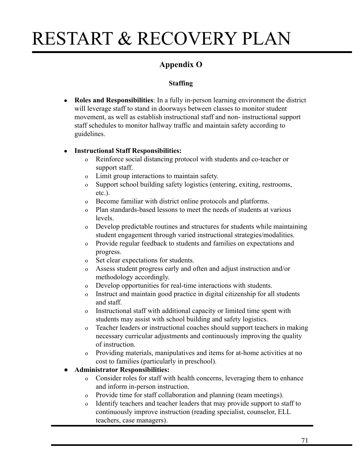### **Appendix O**

### **Staffing**

● **Roles and Responsibilities**: In a fully in-person learning environment the district will leverage staff to stand in doorways between classes to monitor student movement, as well as establish instructional staff and non- instructional support staff schedules to monitor hallway traffic and maintain safety according to guidelines.

### **● Instructional Staff Responsibilities:**

- o Reinforce social distancing protocol with students and co-teacher or support staff.
- o Limit group interactions to maintain safety.
- o Support school building safety logistics (entering, exiting, restrooms, etc.).
- o Become familiar with district online protocols and platforms.
- o Plan standards-based lessons to meet the needs of students at various levels.
- o Develop predictable routines and structures for students while maintaining student engagement through varied instructional strategies/modalities.
- o Provide regular feedback to students and families on expectations and progress.
- o Set clear expectations for students.
- o Assess student progress early and often and adjust instruction and/or methodology accordingly.
- o Develop opportunities for real-time interactions with students.
- o Instruct and maintain good practice in digital citizenship for all students and staff.
- o Instructional staff with additional capacity or limited time spent with students may assist with school building and safety logistics.
- o Teacher leaders or instructional coaches should support teachers in making necessary curricular adjustments and continuously improving the quality of instruction.
- o Providing materials, manipulatives and items for at-home activities at no cost to families (particularly in preschool).

### ● **Administrator Responsibilities:**

- o Consider roles for staff with health concerns, leveraging them to enhance and inform in-person instruction.
- o Provide time for staff collaboration and planning (team meetings).
- o Identify teachers and teacher leaders that may provide support to staff to continuously improve instruction (reading specialist, counselor, ELL teachers, case managers).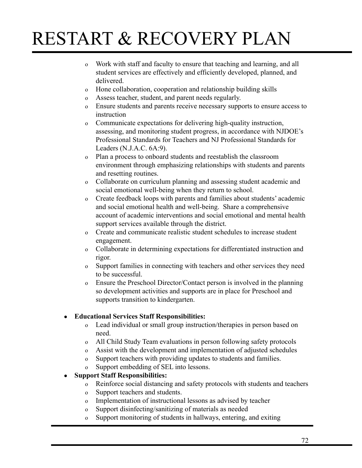- o Work with staff and faculty to ensure that teaching and learning, and all student services are effectively and efficiently developed, planned, and delivered.
- o Hone collaboration, cooperation and relationship building skills
- o Assess teacher, student, and parent needs regularly.
- o Ensure students and parents receive necessary supports to ensure access to instruction
- o Communicate expectations for delivering high-quality instruction, assessing, and monitoring student progress, in accordance with NJDOE's Professional Standards for Teachers and NJ Professional Standards for Leaders (N.J.A.C. 6A:9).
- o Plan a process to onboard students and reestablish the classroom environment through emphasizing relationships with students and parents and resetting routines.
- o Collaborate on curriculum planning and assessing student academic and social emotional well-being when they return to school.
- o Create feedback loops with parents and families about students' academic and social emotional health and well-being. Share a comprehensive account of academic interventions and social emotional and mental health support services available through the district.
- o Create and communicate realistic student schedules to increase student engagement.
- o Collaborate in determining expectations for differentiated instruction and rigor.
- o Support families in connecting with teachers and other services they need to be successful.
- o Ensure the Preschool Director/Contact person is involved in the planning so development activities and supports are in place for Preschool and supports transition to kindergarten.

### **● Educational Services Staff Responsibilities:**

- o Lead individual or small group instruction/therapies in person based on need.
- o All Child Study Team evaluations in person following safety protocols
- o Assist with the development and implementation of adjusted schedules
- o Support teachers with providing updates to students and families.
- o Support embedding of SEL into lessons.

### **● Support Staff Responsibilities:**

- o Reinforce social distancing and safety protocols with students and teachers
- o Support teachers and students.
- o Implementation of instructional lessons as advised by teacher
- o Support disinfecting/sanitizing of materials as needed
- o Support monitoring of students in hallways, entering, and exiting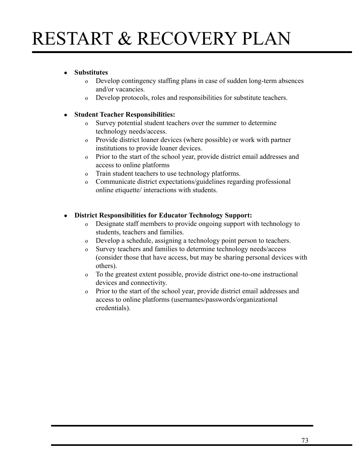#### **● Substitutes**

- o Develop contingency staffing plans in case of sudden long-term absences and/or vacancies.
- o Develop protocols, roles and responsibilities for substitute teachers.

#### **● Student Teacher Responsibilities:**

- o Survey potential student teachers over the summer to determine technology needs/access.
- o Provide district loaner devices (where possible) or work with partner institutions to provide loaner devices.
- o Prior to the start of the school year, provide district email addresses and access to online platforms
- o Train student teachers to use technology platforms.
- o Communicate district expectations/guidelines regarding professional online etiquette/ interactions with students.

#### **● District Responsibilities for Educator Technology Support:**

- o Designate staff members to provide ongoing support with technology to students, teachers and families.
- o Develop a schedule, assigning a technology point person to teachers.
- o Survey teachers and families to determine technology needs/access (consider those that have access, but may be sharing personal devices with others).
- o To the greatest extent possible, provide district one-to-one instructional devices and connectivity.
- o Prior to the start of the school year, provide district email addresses and access to online platforms (usernames/passwords/organizational credentials).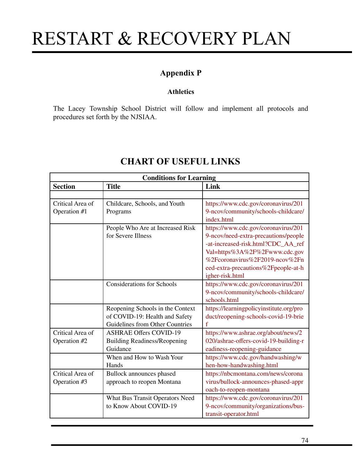### **Appendix P**

#### **Athletics**

The Lacey Township School District will follow and implement all protocols and procedures set forth by the NJSIAA.

| <b>Conditions for Learning</b>   |                                                                                                       |                                                                                                                                                                                                                                                |
|----------------------------------|-------------------------------------------------------------------------------------------------------|------------------------------------------------------------------------------------------------------------------------------------------------------------------------------------------------------------------------------------------------|
| <b>Section</b>                   | <b>Title</b>                                                                                          | Link                                                                                                                                                                                                                                           |
|                                  |                                                                                                       |                                                                                                                                                                                                                                                |
| Critical Area of<br>Operation #1 | Childcare, Schools, and Youth<br>Programs                                                             | https://www.cdc.gov/coronavirus/201<br>9-ncov/community/schools-childcare/<br>index.html                                                                                                                                                       |
|                                  | People Who Are at Increased Risk<br>for Severe Illness                                                | https://www.cdc.gov/coronavirus/201<br>9-ncov/need-extra-precautions/people<br>-at-increased-risk.html?CDC_AA_ref<br>Val=https%3A%2F%2Fwww.cdc.gov<br>%2Fcoronavirus%2F2019-ncov%2Fn<br>eed-extra-precautions%2Fpeople-at-h<br>igher-risk.html |
|                                  | <b>Considerations for Schools</b>                                                                     | https://www.cdc.gov/coronavirus/201<br>9-ncov/community/schools-childcare/<br>schools.html                                                                                                                                                     |
|                                  | Reopening Schools in the Context<br>of COVID-19: Health and Safety<br>Guidelines from Other Countries | https://learningpolicyinstitute.org/pro<br>duct/reopening-schools-covid-19-brie<br>f                                                                                                                                                           |
| Critical Area of<br>Operation #2 | <b>ASHRAE Offers COVID-19</b><br><b>Building Readiness/Reopening</b><br>Guidance                      | https://www.ashrae.org/about/news/2<br>020/ashrae-offers-covid-19-building-r<br>eadiness-reopening-guidance                                                                                                                                    |
|                                  | When and How to Wash Your<br>Hands                                                                    | https://www.cdc.gov/handwashing/w<br>hen-how-handwashing.html                                                                                                                                                                                  |
| Critical Area of<br>Operation #3 | Bullock announces phased<br>approach to reopen Montana                                                | https://nbcmontana.com/news/corona<br>virus/bullock-announces-phased-appr<br>oach-to-reopen-montana                                                                                                                                            |
|                                  | What Bus Transit Operators Need<br>to Know About COVID-19                                             | https://www.cdc.gov/coronavirus/201<br>9-ncov/community/organizations/bus-<br>transit-operator.html                                                                                                                                            |

### **CHART OF USEFUL LINKS**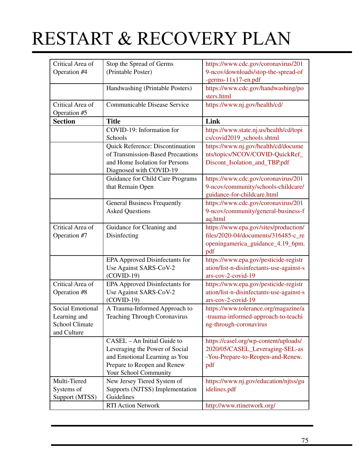| Critical Area of | Stop the Spread of Germs            | https://www.cdc.gov/coronavirus/201      |
|------------------|-------------------------------------|------------------------------------------|
| Operation #4     | (Printable Poster)                  | 9-ncov/downloads/stop-the-spread-of      |
|                  |                                     | $-germs-11x17-en.pdf$                    |
|                  | Handwashing (Printable Posters)     | https://www.cdc.gov/handwashing/po       |
|                  |                                     | sters.html                               |
| Critical Area of | Communicable Disease Service        | https://www.nj.gov/health/cd/            |
| Operation #5     |                                     |                                          |
| <b>Section</b>   | <b>Title</b>                        | Link                                     |
|                  | COVID-19: Information for           | https://www.state.nj.us/health/cd/topi   |
|                  | Schools                             | cs/covid2019_schools.shtml               |
|                  | Quick Reference: Discontinuation    | https://www.nj.gov/health/cd/docume      |
|                  | of Transmission-Based Precautions   | nts/topics/NCOV/COVID-QuickRef_          |
|                  | and Home Isolation for Persons      | Discont_Isolation_and_TBP.pdf            |
|                  |                                     |                                          |
|                  | Diagnosed with COVID-19             |                                          |
|                  | Guidance for Child Care Programs    | https://www.cdc.gov/coronavirus/201      |
|                  | that Remain Open                    | 9-ncov/community/schools-childcare/      |
|                  |                                     | guidance-for-childcare.html              |
|                  | <b>General Business Frequently</b>  | https://www.cdc.gov/coronavirus/201      |
|                  | <b>Asked Questions</b>              | 9-ncov/community/general-business-f      |
|                  |                                     | aq.html                                  |
| Critical Area of | Guidance for Cleaning and           | https://www.epa.gov/sites/production/    |
| Operation #7     | Disinfecting                        | files/2020-04/documents/316485-c_re      |
|                  |                                     | openingamerica_guidance_4.19_6pm.        |
|                  |                                     | pdf                                      |
|                  | EPA Approved Disinfectants for      | https://www.epa.gov/pesticide-registr    |
|                  | Use Against SARS-CoV-2              | ation/list-n-disinfectants-use-against-s |
|                  | $(COVID-19)$                        | ars-cov-2-covid-19                       |
| Critical Area of | EPA Approved Disinfectants for      | https://www.epa.gov/pesticide-registr    |
| Operation #8     | Use Against SARS-CoV-2              | ation/list-n-disinfectants-use-against-s |
|                  | $(COVID-19)$                        | ars-cov-2-covid-19                       |
| Social Emotional | A Trauma-Informed Approach to       | https://www.tolerance.org/magazine/a     |
| Learning and     | <b>Teaching Through Coronavirus</b> | -trauma-informed-approach-to-teachi      |
|                  |                                     |                                          |
| School Climate   |                                     | ng-through-coronavirus                   |
| and Culture      |                                     |                                          |
|                  | CASEL - An Initial Guide to         | https://casel.org/wp-content/uploads/    |
|                  | Leveraging the Power of Social      | 2020/05/CASEL_Leveraging-SEL-as          |
|                  | and Emotional Learning as You       | -You-Prepare-to-Reopen-and-Renew.        |
|                  | Prepare to Reopen and Renew         | pdf                                      |
|                  | Your School Community               |                                          |
| Multi-Tiered     | New Jersey Tiered System of         | https://www.nj.gov/education/njtss/gu    |
| Systems of       | Supports (NJTSS) Implementation     | idelines.pdf                             |
| Support (MTSS)   | Guidelines                          |                                          |
|                  | <b>RTI Action Network</b>           | http://www.rtinetwork.org/               |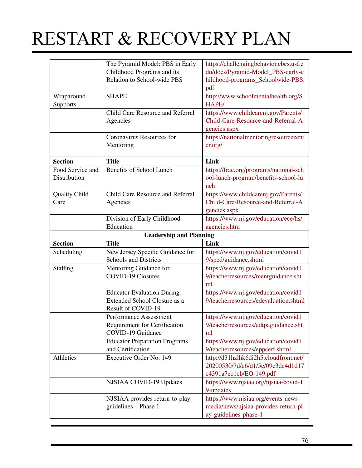|                      | The Pyramid Model: PBS in Early      | https://challengingbehavior.cbcs.usf.e                        |
|----------------------|--------------------------------------|---------------------------------------------------------------|
|                      | Childhood Programs and its           | du/docs/Pyramid-Model_PBS-early-c                             |
|                      | Relation to School-wide PBS          | hildhood-programs_Schoolwide-PBS.                             |
|                      |                                      | pdf                                                           |
| Wraparound           | <b>SHAPE</b>                         | http://www.schoolmentalhealth.org/S                           |
| Supports             |                                      | <b>HAPE/</b>                                                  |
|                      | Child Care Resource and Referral     | https://www.childcarenj.gov/Parents/                          |
|                      | Agencies                             | Child-Care-Resource-and-Referral-A                            |
|                      |                                      | gencies.aspx                                                  |
|                      | Coronavirus Resources for            | https://nationalmentoringresourcecent                         |
|                      |                                      |                                                               |
|                      | Mentoring                            | er.org/                                                       |
| <b>Section</b>       | <b>Title</b>                         | Link                                                          |
| Food Service and     | <b>Benefits of School Lunch</b>      | https://frac.org/programs/national-sch                        |
| Distribution         |                                      | ool-lunch-program/benefits-school-lu                          |
|                      |                                      |                                                               |
|                      |                                      | nch                                                           |
| <b>Quality Child</b> | Child Care Resource and Referral     | https://www.childcarenj.gov/Parents/                          |
| Care                 | Agencies                             | Child-Care-Resource-and-Referral-A                            |
|                      |                                      | gencies.aspx                                                  |
|                      | Division of Early Childhood          | https://www.nj.gov/education/ece/hs/                          |
|                      | Education                            | agencies.htm                                                  |
|                      | <b>Leadership and Planning</b>       |                                                               |
|                      | <b>Title</b>                         |                                                               |
| <b>Section</b>       |                                      | Link                                                          |
| Scheduling           | New Jersey Specific Guidance for     |                                                               |
|                      | <b>Schools and Districts</b>         | https://www.nj.gov/education/covid1                           |
|                      |                                      | 9/sped/guidance.shtml                                         |
| Staffing             | Mentoring Guidance for               | https://www.nj.gov/education/covid1                           |
|                      | <b>COVID-19 Closures</b>             | 9/teacherresources/mentguidance.sht<br>ml                     |
|                      |                                      |                                                               |
|                      | <b>Educator Evaluation During</b>    | https://www.nj.gov/education/covid1                           |
|                      | Extended School Closure as a         | 9/teacherresources/edevaluation.shtml                         |
|                      | Result of COVID-19                   |                                                               |
|                      | Performance Assessment               | https://www.nj.gov/education/covid1                           |
|                      | Requirement for Certification        | 9/teacherresources/edtpaguidance.sht                          |
|                      | <b>COVID-19 Guidance</b>             | ml                                                            |
|                      | <b>Educator Preparation Programs</b> | https://www.nj.gov/education/covid1                           |
|                      | and Certification                    | 9/teacherresources/eppcert.shtml                              |
| Athletics            | Executive Order No. 149              | http://d31hzlhk6di2h5.cloudfront.net/                         |
|                      |                                      | 20200530/7d/e6/d1/5c/09c3dc4d1d17                             |
|                      |                                      | c4391a7ec1cb/EO-149.pdf                                       |
|                      | NJSIAA COVID-19 Updates              | https://www.njsiaa.org/njsiaa-covid-1                         |
|                      |                                      | 9-updates                                                     |
|                      |                                      |                                                               |
|                      | NJSIAA provides return-to-play       | https://www.njsiaa.org/events-news-                           |
|                      | guidelines - Phase 1                 | media/news/njsiaa-provides-return-pl<br>ay-guidelines-phase-1 |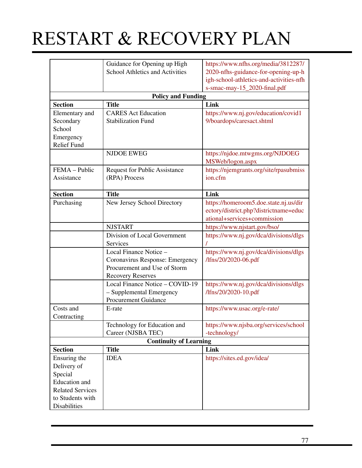|                         | Guidance for Opening up High           | https://www.nfhs.org/media/3812287/     |
|-------------------------|----------------------------------------|-----------------------------------------|
|                         | <b>School Athletics and Activities</b> | 2020-nfhs-guidance-for-opening-up-h     |
|                         |                                        | igh-school-athletics-and-activities-nfh |
|                         |                                        | s-smac-may-15_2020-final.pdf            |
|                         | <b>Policy and Funding</b>              |                                         |
| <b>Section</b>          | <b>Title</b>                           | Link                                    |
| Elementary and          | <b>CARES</b> Act Education             | https://www.nj.gov/education/covid1     |
| Secondary               | <b>Stabilization Fund</b>              | 9/boardops/caresact.shtml               |
| School                  |                                        |                                         |
| Emergency               |                                        |                                         |
| <b>Relief Fund</b>      |                                        |                                         |
|                         | <b>NJDOE EWEG</b>                      | https://njdoe.mtwgms.org/NJDOEG         |
|                         |                                        | MSWeb/logon.aspx                        |
| FEMA - Public           | <b>Request for Public Assistance</b>   | https://njemgrants.org/site/rpasubmiss  |
| Assistance              | (RPA) Process                          | ion.cfm                                 |
|                         |                                        |                                         |
| <b>Section</b>          | <b>Title</b>                           | Link                                    |
| Purchasing              | New Jersey School Directory            | https://homeroom5.doe.state.nj.us/dir   |
|                         |                                        | ectory/district.php?districtname=educ   |
|                         |                                        | ational+services+commission             |
|                         | <b>NJSTART</b>                         | https://www.njstart.gov/bso/            |
|                         | Division of Local Government           | https://www.nj.gov/dca/divisions/dlgs   |
|                         | Services                               |                                         |
|                         | Local Finance Notice -                 | https://www.nj.gov/dca/divisions/dlgs   |
|                         | Coronavirus Response: Emergency        | /lfns/20/2020-06.pdf                    |
|                         | Procurement and Use of Storm           |                                         |
|                         | <b>Recovery Reserves</b>               |                                         |
|                         | Local Finance Notice - COVID-19        | https://www.nj.gov/dca/divisions/dlgs   |
|                         | - Supplemental Emergency               | /lfns/20/2020-10.pdf                    |
|                         | <b>Procurement Guidance</b>            |                                         |
| Costs and               | E-rate                                 | https://www.usac.org/e-rate/            |
| Contracting             |                                        |                                         |
|                         | Technology for Education and           | https://www.njsba.org/services/school   |
|                         | Career (NJSBA TEC)                     | -technology/                            |
|                         | <b>Continuity of Learning</b>          |                                         |
| <b>Section</b>          | <b>Title</b>                           | Link                                    |
| Ensuring the            | <b>IDEA</b>                            | https://sites.ed.gov/idea/              |
| Delivery of             |                                        |                                         |
| Special                 |                                        |                                         |
| <b>Education</b> and    |                                        |                                         |
| <b>Related Services</b> |                                        |                                         |
| to Students with        |                                        |                                         |
| Disabilities            |                                        |                                         |